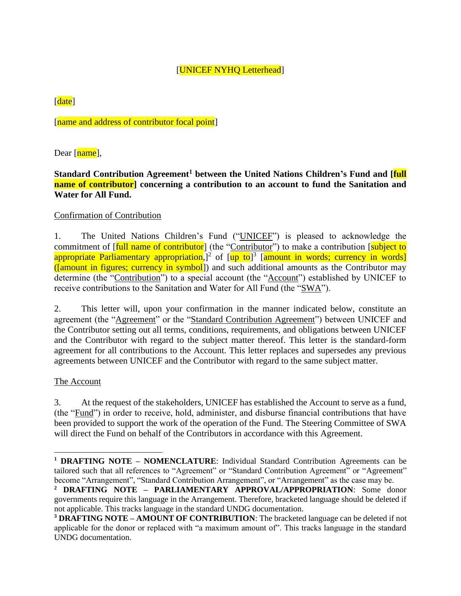# [UNICEF NYHQ Letterhead]

# [date]

[name and address of contributor focal point]

Dear [name],

# **Standard Contribution Agreement<sup>1</sup> between the United Nations Children's Fund and [full name of contributor] concerning a contribution to an account to fund the Sanitation and Water for All Fund.**

# Confirmation of Contribution

1. The United Nations Children's Fund ("UNICEF") is pleased to acknowledge the commitment of [full name of contributor] (the "Contributor") to make a contribution [subject to appropriate Parliamentary appropriation,]<sup>2</sup> of [up to]<sup>3</sup> [amount in words; currency in words] ([amount in figures; currency in symbol]) and such additional amounts as the Contributor may determine (the "Contribution") to a special account (the "Account") established by UNICEF to receive contributions to the Sanitation and Water for All Fund (the "SWA").

2. This letter will, upon your confirmation in the manner indicated below, constitute an agreement (the "Agreement" or the "Standard Contribution Agreement") between UNICEF and the Contributor setting out all terms, conditions, requirements, and obligations between UNICEF and the Contributor with regard to the subject matter thereof. This letter is the standard-form agreement for all contributions to the Account. This letter replaces and supersedes any previous agreements between UNICEF and the Contributor with regard to the same subject matter.

# The Account

3. At the request of the stakeholders, UNICEF has established the Account to serve as a fund, (the "Fund") in order to receive, hold, administer, and disburse financial contributions that have been provided to support the work of the operation of the Fund. The Steering Committee of SWA will direct the Fund on behalf of the Contributors in accordance with this Agreement.

**<sup>1</sup> DRAFTING NOTE – NOMENCLATURE**: Individual Standard Contribution Agreements can be tailored such that all references to "Agreement" or "Standard Contribution Agreement" or "Agreement" become "Arrangement", "Standard Contribution Arrangement", or "Arrangement" as the case may be.

**<sup>2</sup> DRAFTING NOTE – PARLIAMENTARY APPROVAL/APPROPRIATION**: Some donor governments require this language in the Arrangement. Therefore, bracketed language should be deleted if not applicable. This tracks language in the standard UNDG documentation.

**<sup>3</sup> DRAFTING NOTE – AMOUNT OF CONTRIBUTION**: The bracketed language can be deleted if not applicable for the donor or replaced with "a maximum amount of". This tracks language in the standard UNDG documentation.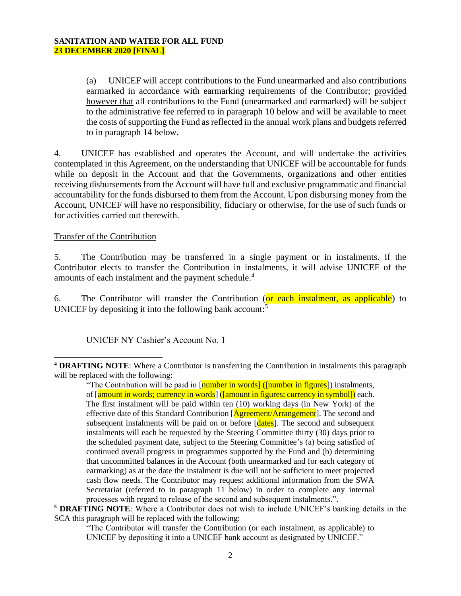(a) UNICEF will accept contributions to the Fund unearmarked and also contributions earmarked in accordance with earmarking requirements of the Contributor; provided however that all contributions to the Fund (unearmarked and earmarked) will be subject to the administrative fee referred to in paragraph 10 below and will be available to meet the costs of supporting the Fund as reflected in the annual work plans and budgets referred to in paragraph 14 below.

4. UNICEF has established and operates the Account, and will undertake the activities contemplated in this Agreement, on the understanding that UNICEF will be accountable for funds while on deposit in the Account and that the Governments, organizations and other entities receiving disbursements from the Account will have full and exclusive programmatic and financial accountability for the funds disbursed to them from the Account. Upon disbursing money from the Account, UNICEF will have no responsibility, fiduciary or otherwise, for the use of such funds or for activities carried out therewith.

# Transfer of the Contribution

5. The Contribution may be transferred in a single payment or in instalments. If the Contributor elects to transfer the Contribution in instalments, it will advise UNICEF of the amounts of each instalment and the payment schedule.<sup>4</sup>

6. The Contributor will transfer the Contribution (or each instalment, as applicable) to UNICEF by depositing it into the following bank account:<sup>5</sup>

UNICEF NY Cashier's Account No. 1

"The Contributor will transfer the Contribution (or each instalment, as applicable) to UNICEF by depositing it into a UNICEF bank account as designated by UNICEF."

**<sup>4</sup> DRAFTING NOTE**: Where a Contributor is transferring the Contribution in instalments this paragraph will be replaced with the following:

<sup>&</sup>quot;The Contribution will be paid in  $\lceil$  number in words] ( $\lceil$  number in figures<sup>†</sup>) instalments, of [amount in words; currency in words] ([amount in figures; currency in symbol]) each. The first instalment will be paid within ten (10) working days (in New York) of the effective date of this Standard Contribution [Agreement/Arrangement]. The second and subsequent instalments will be paid on or before [dates]. The second and subsequent instalments will each be requested by the Steering Committee thirty (30) days prior to the scheduled payment date, subject to the Steering Committee's (a) being satisfied of continued overall progress in programmes supported by the Fund and (b) determining that uncommitted balances in the Account (both unearmarked and for each category of earmarking) as at the date the instalment is due will not be sufficient to meet projected cash flow needs. The Contributor may request additional information from the SWA Secretariat (referred to in paragraph 11 below) in order to complete any internal processes with regard to release of the second and subsequent instalments.".

**<sup>5</sup> DRAFTING NOTE**: Where a Contributor does not wish to include UNICEF's banking details in the SCA this paragraph will be replaced with the following: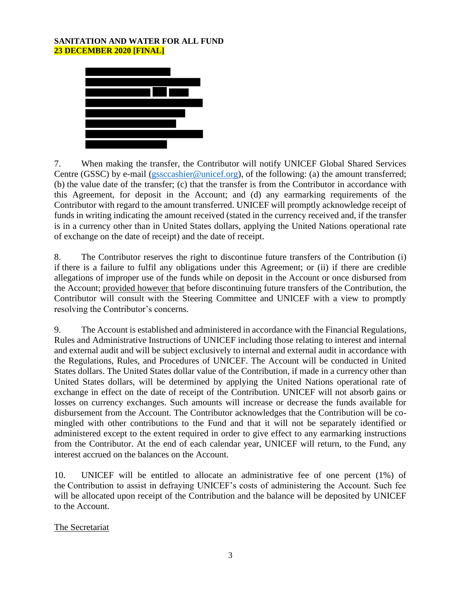

7. When making the transfer, the Contributor will notify UNICEF Global Shared Services Centre (GSSC) by e-mail [\(gssccashier@unicef.org\)](mailto:gssccashier@unicef.org), of the following: (a) the amount transferred; (b) the value date of the transfer; (c) that the transfer is from the Contributor in accordance with this Agreement, for deposit in the Account; and (d) any earmarking requirements of the Contributor with regard to the amount transferred. UNICEF will promptly acknowledge receipt of funds in writing indicating the amount received (stated in the currency received and, if the transfer is in a currency other than in United States dollars, applying the United Nations operational rate of exchange on the date of receipt) and the date of receipt.

8. The Contributor reserves the right to discontinue future transfers of the Contribution (i) if there is a failure to fulfil any obligations under this Agreement; or (ii) if there are credible allegations of improper use of the funds while on deposit in the Account or once disbursed from the Account; provided however that before discontinuing future transfers of the Contribution, the Contributor will consult with the Steering Committee and UNICEF with a view to promptly resolving the Contributor's concerns.

9. The Account is established and administered in accordance with the Financial Regulations, Rules and Administrative Instructions of UNICEF including those relating to interest and internal and external audit and will be subject exclusively to internal and external audit in accordance with the Regulations, Rules, and Procedures of UNICEF. The Account will be conducted in United States dollars. The United States dollar value of the Contribution, if made in a currency other than United States dollars, will be determined by applying the United Nations operational rate of exchange in effect on the date of receipt of the Contribution. UNICEF will not absorb gains or losses on currency exchanges. Such amounts will increase or decrease the funds available for disbursement from the Account. The Contributor acknowledges that the Contribution will be comingled with other contributions to the Fund and that it will not be separately identified or administered except to the extent required in order to give effect to any earmarking instructions from the Contributor. At the end of each calendar year, UNICEF will return, to the Fund, any interest accrued on the balances on the Account.

10. UNICEF will be entitled to allocate an administrative fee of one percent (1%) of the Contribution to assist in defraying UNICEF's costs of administering the Account. Such fee will be allocated upon receipt of the Contribution and the balance will be deposited by UNICEF to the Account.

# The Secretariat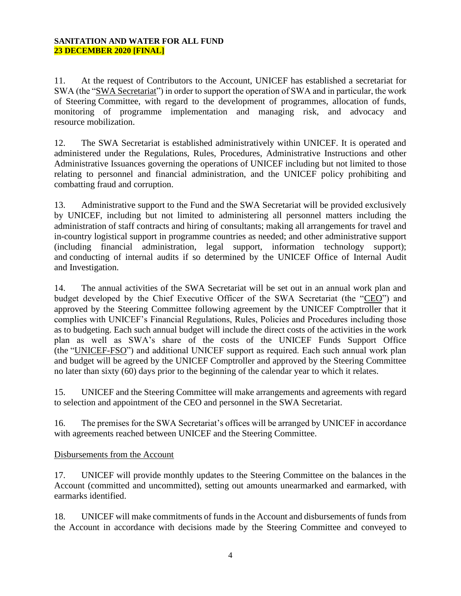11. At the request of Contributors to the Account, UNICEF has established a secretariat for SWA (the "SWA Secretariat") in order to support the operation of SWA and in particular, the work of Steering Committee, with regard to the development of programmes, allocation of funds, monitoring of programme implementation and managing risk, and advocacy and resource mobilization.

12. The SWA Secretariat is established administratively within UNICEF. It is operated and administered under the Regulations, Rules, Procedures, Administrative Instructions and other Administrative Issuances governing the operations of UNICEF including but not limited to those relating to personnel and financial administration, and the UNICEF policy prohibiting and combatting fraud and corruption.

13. Administrative support to the Fund and the SWA Secretariat will be provided exclusively by UNICEF, including but not limited to administering all personnel matters including the administration of staff contracts and hiring of consultants; making all arrangements for travel and in-country logistical support in programme countries as needed; and other administrative support (including financial administration, legal support, information technology support); and conducting of internal audits if so determined by the UNICEF Office of Internal Audit and Investigation.

14. The annual activities of the SWA Secretariat will be set out in an annual work plan and budget developed by the Chief Executive Officer of the SWA Secretariat (the "CEO") and approved by the Steering Committee following agreement by the UNICEF Comptroller that it complies with UNICEF's Financial Regulations, Rules, Policies and Procedures including those as to budgeting. Each such annual budget will include the direct costs of the activities in the work plan as well as SWA's share of the costs of the UNICEF Funds Support Office (the "UNICEF-FSO") and additional UNICEF support as required. Each such annual work plan and budget will be agreed by the UNICEF Comptroller and approved by the Steering Committee no later than sixty (60) days prior to the beginning of the calendar year to which it relates.

15. UNICEF and the Steering Committee will make arrangements and agreements with regard to selection and appointment of the CEO and personnel in the SWA Secretariat.

16. The premises for the SWA Secretariat's offices will be arranged by UNICEF in accordance with agreements reached between UNICEF and the Steering Committee.

# Disbursements from the Account

17. UNICEF will provide monthly updates to the Steering Committee on the balances in the Account (committed and uncommitted), setting out amounts unearmarked and earmarked, with earmarks identified.

18. UNICEF will make commitments of funds in the Account and disbursements of funds from the Account in accordance with decisions made by the Steering Committee and conveyed to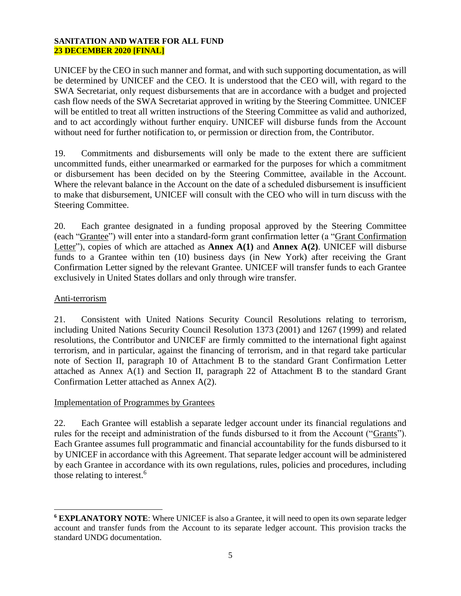UNICEF by the CEO in such manner and format, and with such supporting documentation, as will be determined by UNICEF and the CEO. It is understood that the CEO will, with regard to the SWA Secretariat, only request disbursements that are in accordance with a budget and projected cash flow needs of the SWA Secretariat approved in writing by the Steering Committee. UNICEF will be entitled to treat all written instructions of the Steering Committee as valid and authorized, and to act accordingly without further enquiry. UNICEF will disburse funds from the Account without need for further notification to, or permission or direction from, the Contributor.

19. Commitments and disbursements will only be made to the extent there are sufficient uncommitted funds, either unearmarked or earmarked for the purposes for which a commitment or disbursement has been decided on by the Steering Committee, available in the Account. Where the relevant balance in the Account on the date of a scheduled disbursement is insufficient to make that disbursement, UNICEF will consult with the CEO who will in turn discuss with the Steering Committee.

20. Each grantee designated in a funding proposal approved by the Steering Committee (each "Grantee") will enter into a standard-form grant confirmation letter (a "Grant Confirmation Letter"), copies of which are attached as **Annex A(1)** and **Annex A(2)**. UNICEF will disburse funds to a Grantee within ten (10) business days (in New York) after receiving the Grant Confirmation Letter signed by the relevant Grantee. UNICEF will transfer funds to each Grantee exclusively in United States dollars and only through wire transfer.

# Anti-terrorism

21. Consistent with United Nations Security Council Resolutions relating to terrorism, including United Nations Security Council Resolution 1373 (2001) and 1267 (1999) and related resolutions, the Contributor and UNICEF are firmly committed to the international fight against terrorism, and in particular, against the financing of terrorism, and in that regard take particular note of Section II, paragraph 10 of Attachment B to the standard Grant Confirmation Letter attached as Annex A(1) and Section II, paragraph 22 of Attachment B to the standard Grant Confirmation Letter attached as Annex A(2).

# Implementation of Programmes by Grantees

22. Each Grantee will establish a separate ledger account under its financial regulations and rules for the receipt and administration of the funds disbursed to it from the Account ("Grants"). Each Grantee assumes full programmatic and financial accountability for the funds disbursed to it by UNICEF in accordance with this Agreement. That separate ledger account will be administered by each Grantee in accordance with its own regulations, rules, policies and procedures, including those relating to interest.<sup>6</sup>

**<sup>6</sup> EXPLANATORY NOTE**: Where UNICEF is also a Grantee, it will need to open its own separate ledger account and transfer funds from the Account to its separate ledger account. This provision tracks the standard UNDG documentation.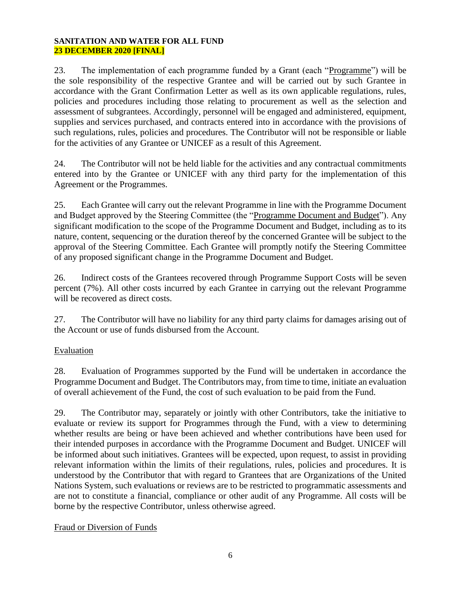23. The implementation of each programme funded by a Grant (each "Programme") will be the sole responsibility of the respective Grantee and will be carried out by such Grantee in accordance with the Grant Confirmation Letter as well as its own applicable regulations, rules, policies and procedures including those relating to procurement as well as the selection and assessment of subgrantees. Accordingly, personnel will be engaged and administered, equipment, supplies and services purchased, and contracts entered into in accordance with the provisions of such regulations, rules, policies and procedures. The Contributor will not be responsible or liable for the activities of any Grantee or UNICEF as a result of this Agreement.

24. The Contributor will not be held liable for the activities and any contractual commitments entered into by the Grantee or UNICEF with any third party for the implementation of this Agreement or the Programmes.

25. Each Grantee will carry out the relevant Programme in line with the Programme Document and Budget approved by the Steering Committee (the "Programme Document and Budget"). Any significant modification to the scope of the Programme Document and Budget, including as to its nature, content, sequencing or the duration thereof by the concerned Grantee will be subject to the approval of the Steering Committee. Each Grantee will promptly notify the Steering Committee of any proposed significant change in the Programme Document and Budget.

26. Indirect costs of the Grantees recovered through Programme Support Costs will be seven percent (7%). All other costs incurred by each Grantee in carrying out the relevant Programme will be recovered as direct costs.

27. The Contributor will have no liability for any third party claims for damages arising out of the Account or use of funds disbursed from the Account.

# Evaluation

28. Evaluation of Programmes supported by the Fund will be undertaken in accordance the Programme Document and Budget. The Contributors may, from time to time, initiate an evaluation of overall achievement of the Fund, the cost of such evaluation to be paid from the Fund.

29. The Contributor may, separately or jointly with other Contributors, take the initiative to evaluate or review its support for Programmes through the Fund, with a view to determining whether results are being or have been achieved and whether contributions have been used for their intended purposes in accordance with the Programme Document and Budget. UNICEF will be informed about such initiatives. Grantees will be expected, upon request, to assist in providing relevant information within the limits of their regulations, rules, policies and procedures. It is understood by the Contributor that with regard to Grantees that are Organizations of the United Nations System, such evaluations or reviews are to be restricted to programmatic assessments and are not to constitute a financial, compliance or other audit of any Programme. All costs will be borne by the respective Contributor, unless otherwise agreed.

# Fraud or Diversion of Funds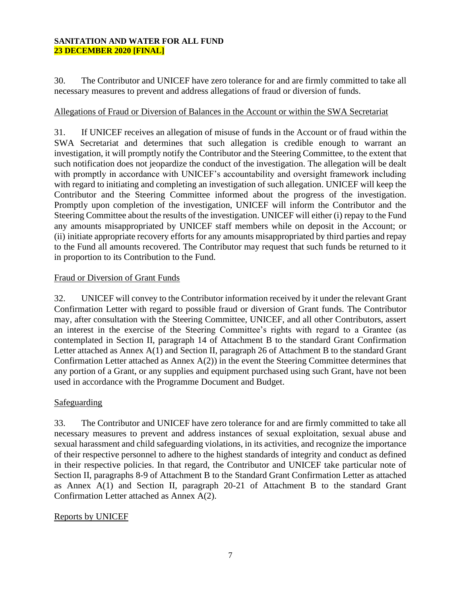30. The Contributor and UNICEF have zero tolerance for and are firmly committed to take all necessary measures to prevent and address allegations of fraud or diversion of funds.

# Allegations of Fraud or Diversion of Balances in the Account or within the SWA Secretariat

31. If UNICEF receives an allegation of misuse of funds in the Account or of fraud within the SWA Secretariat and determines that such allegation is credible enough to warrant an investigation, it will promptly notify the Contributor and the Steering Committee, to the extent that such notification does not jeopardize the conduct of the investigation. The allegation will be dealt with promptly in accordance with UNICEF's accountability and oversight framework including with regard to initiating and completing an investigation of such allegation. UNICEF will keep the Contributor and the Steering Committee informed about the progress of the investigation. Promptly upon completion of the investigation, UNICEF will inform the Contributor and the Steering Committee about the results of the investigation. UNICEF will either (i) repay to the Fund any amounts misappropriated by UNICEF staff members while on deposit in the Account; or (ii) initiate appropriate recovery efforts for any amounts misappropriated by third parties and repay to the Fund all amounts recovered. The Contributor may request that such funds be returned to it in proportion to its Contribution to the Fund.

# Fraud or Diversion of Grant Funds

32. UNICEF will convey to the Contributor information received by it under the relevant Grant Confirmation Letter with regard to possible fraud or diversion of Grant funds. The Contributor may, after consultation with the Steering Committee, UNICEF, and all other Contributors, assert an interest in the exercise of the Steering Committee's rights with regard to a Grantee (as contemplated in Section II, paragraph 14 of Attachment B to the standard Grant Confirmation Letter attached as Annex A(1) and Section II, paragraph 26 of Attachment B to the standard Grant Confirmation Letter attached as Annex A(2)) in the event the Steering Committee determines that any portion of a Grant, or any supplies and equipment purchased using such Grant, have not been used in accordance with the Programme Document and Budget.

# Safeguarding

33. The Contributor and UNICEF have zero tolerance for and are firmly committed to take all necessary measures to prevent and address instances of sexual exploitation, sexual abuse and sexual harassment and child safeguarding violations, in its activities, and recognize the importance of their respective personnel to adhere to the highest standards of integrity and conduct as defined in their respective policies. In that regard, the Contributor and UNICEF take particular note of Section II, paragraphs 8-9 of Attachment B to the Standard Grant Confirmation Letter as attached as Annex A(1) and Section II, paragraph 20-21 of Attachment B to the standard Grant Confirmation Letter attached as Annex A(2).

# Reports by UNICEF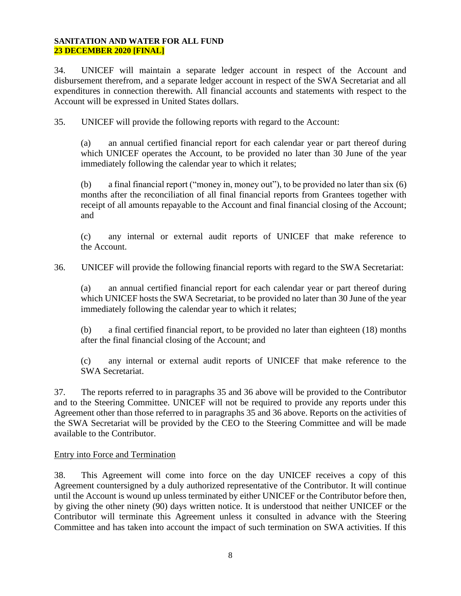34. UNICEF will maintain a separate ledger account in respect of the Account and disbursement therefrom, and a separate ledger account in respect of the SWA Secretariat and all expenditures in connection therewith. All financial accounts and statements with respect to the Account will be expressed in United States dollars.

35. UNICEF will provide the following reports with regard to the Account:

(a) an annual certified financial report for each calendar year or part thereof during which UNICEF operates the Account, to be provided no later than 30 June of the year immediately following the calendar year to which it relates;

(b) a final financial report ("money in, money out"), to be provided no later than six (6) months after the reconciliation of all final financial reports from Grantees together with receipt of all amounts repayable to the Account and final financial closing of the Account; and

(c) any internal or external audit reports of UNICEF that make reference to the Account.

36. UNICEF will provide the following financial reports with regard to the SWA Secretariat:

(a) an annual certified financial report for each calendar year or part thereof during which UNICEF hosts the SWA Secretariat, to be provided no later than 30 June of the year immediately following the calendar year to which it relates;

(b) a final certified financial report, to be provided no later than eighteen (18) months after the final financial closing of the Account; and

(c) any internal or external audit reports of UNICEF that make reference to the SWA Secretariat.

37. The reports referred to in paragraphs 35 and 36 above will be provided to the Contributor and to the Steering Committee. UNICEF will not be required to provide any reports under this Agreement other than those referred to in paragraphs 35 and 36 above. Reports on the activities of the SWA Secretariat will be provided by the CEO to the Steering Committee and will be made available to the Contributor.

# Entry into Force and Termination

38. This Agreement will come into force on the day UNICEF receives a copy of this Agreement countersigned by a duly authorized representative of the Contributor. It will continue until the Account is wound up unless terminated by either UNICEF or the Contributor before then, by giving the other ninety (90) days written notice. It is understood that neither UNICEF or the Contributor will terminate this Agreement unless it consulted in advance with the Steering Committee and has taken into account the impact of such termination on SWA activities. If this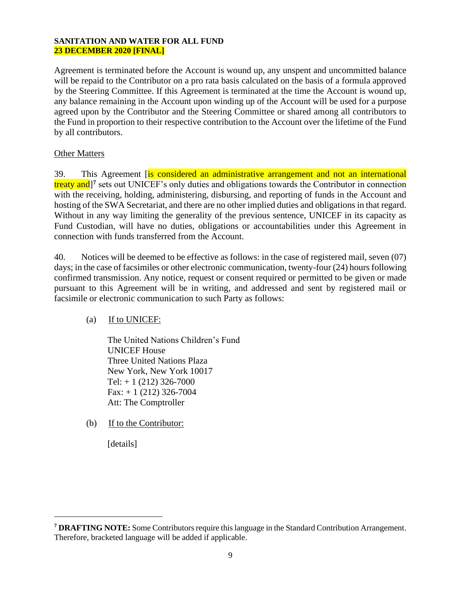Agreement is terminated before the Account is wound up, any unspent and uncommitted balance will be repaid to the Contributor on a pro rata basis calculated on the basis of a formula approved by the Steering Committee. If this Agreement is terminated at the time the Account is wound up, any balance remaining in the Account upon winding up of the Account will be used for a purpose agreed upon by the Contributor and the Steering Committee or shared among all contributors to the Fund in proportion to their respective contribution to the Account over the lifetime of the Fund by all contributors.

# Other Matters

39. This Agreement *is considered an administrative arrangement and not an international* treaty and<sup>]7</sup> sets out UNICEF's only duties and obligations towards the Contributor in connection with the receiving, holding, administering, disbursing, and reporting of funds in the Account and hosting of the SWA Secretariat, and there are no other implied duties and obligations in that regard. Without in any way limiting the generality of the previous sentence, UNICEF in its capacity as Fund Custodian, will have no duties, obligations or accountabilities under this Agreement in connection with funds transferred from the Account.

40. Notices will be deemed to be effective as follows: in the case of registered mail, seven (07) days; in the case of facsimiles or other electronic communication, twenty-four (24) hours following confirmed transmission. Any notice, request or consent required or permitted to be given or made pursuant to this Agreement will be in writing, and addressed and sent by registered mail or facsimile or electronic communication to such Party as follows:

# (a) If to UNICEF:

The United Nations Children's Fund UNICEF House Three United Nations Plaza New York, New York 10017 Tel:  $+ 1 (212) 326 - 7000$  $Fax: + 1 (212) 326-7004$ Att: The Comptroller

(b) If to the Contributor:

[details]

**<sup>7</sup> DRAFTING NOTE:** Some Contributors require this language in the Standard Contribution Arrangement. Therefore, bracketed language will be added if applicable.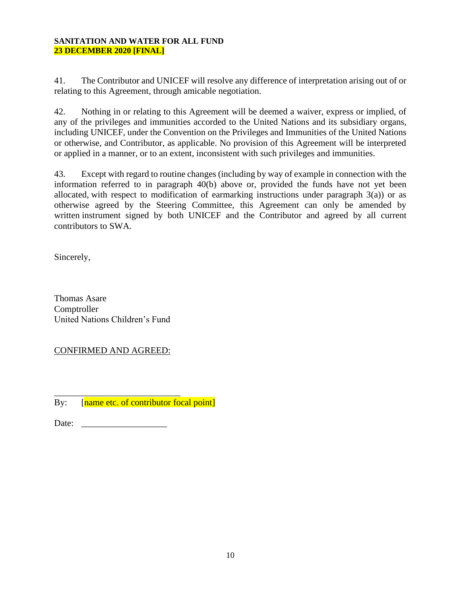41. The Contributor and UNICEF will resolve any difference of interpretation arising out of or relating to this Agreement, through amicable negotiation.

42. Nothing in or relating to this Agreement will be deemed a waiver, express or implied, of any of the privileges and immunities accorded to the United Nations and its subsidiary organs, including UNICEF, under the Convention on the Privileges and Immunities of the United Nations or otherwise, and Contributor, as applicable. No provision of this Agreement will be interpreted or applied in a manner, or to an extent, inconsistent with such privileges and immunities.

43. Except with regard to routine changes (including by way of example in connection with the information referred to in paragraph 40(b) above or, provided the funds have not yet been allocated, with respect to modification of earmarking instructions under paragraph  $3(a)$ ) or as otherwise agreed by the Steering Committee, this Agreement can only be amended by written instrument signed by both UNICEF and the Contributor and agreed by all current contributors to SWA.

Sincerely,

Thomas Asare **Comptroller** United Nations Children's Fund

CONFIRMED AND AGREED:

\_\_\_\_\_\_\_\_\_\_\_\_\_\_\_\_\_\_\_\_\_\_\_\_\_\_\_\_ By: [name etc. of contributor focal point]

Date: \_\_\_\_\_\_\_\_\_\_\_\_\_\_\_\_\_\_\_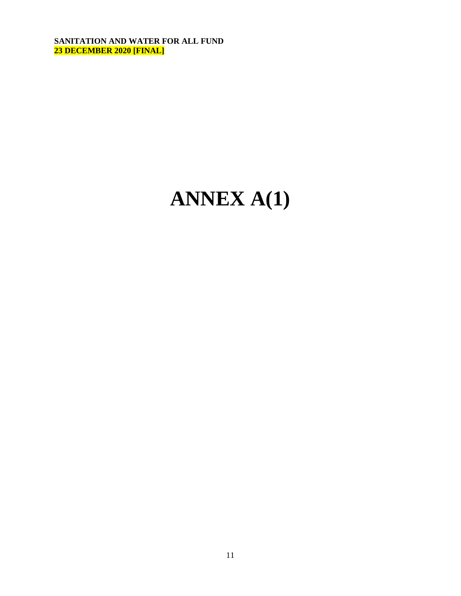# **ANNEX A(1)**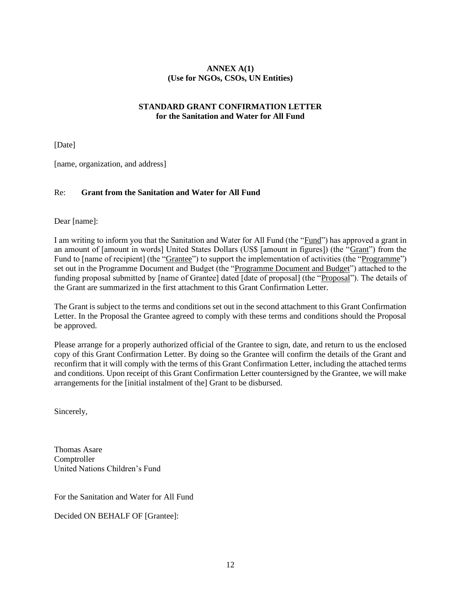# **ANNEX A(1) (Use for NGOs, CSOs, UN Entities)**

## **STANDARD GRANT CONFIRMATION LETTER for the Sanitation and Water for All Fund**

[Date]

[name, organization, and address]

## Re: **Grant from the Sanitation and Water for All Fund**

Dear [name]:

I am writing to inform you that the Sanitation and Water for All Fund (the "Fund") has approved a grant in an amount of [amount in words] United States Dollars (US\$ [amount in figures]) (the "Grant") from the Fund to [name of recipient] (the "Grantee") to support the implementation of activities (the "Programme") set out in the Programme Document and Budget (the "Programme Document and Budget") attached to the funding proposal submitted by [name of Grantee] dated [date of proposal] (the "Proposal"). The details of the Grant are summarized in the first attachment to this Grant Confirmation Letter.

The Grant is subject to the terms and conditions set out in the second attachment to this Grant Confirmation Letter. In the Proposal the Grantee agreed to comply with these terms and conditions should the Proposal be approved.

Please arrange for a properly authorized official of the Grantee to sign, date, and return to us the enclosed copy of this Grant Confirmation Letter. By doing so the Grantee will confirm the details of the Grant and reconfirm that it will comply with the terms of this Grant Confirmation Letter, including the attached terms and conditions. Upon receipt of this Grant Confirmation Letter countersigned by the Grantee, we will make arrangements for the [initial instalment of the] Grant to be disbursed.

Sincerely,

Thomas Asare Comptroller United Nations Children's Fund

For the Sanitation and Water for All Fund

Decided ON BEHALF OF [Grantee]: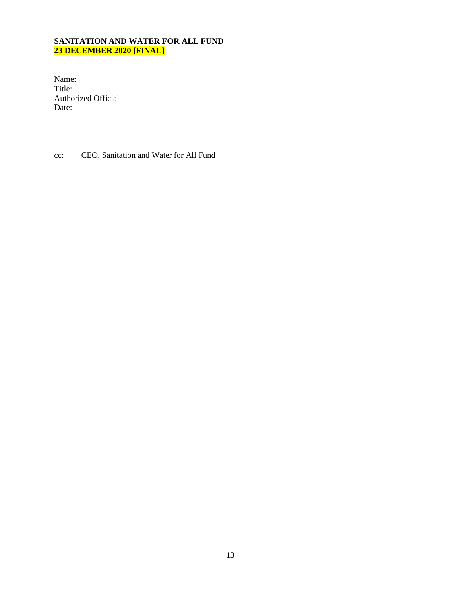Name: Title: Authorized Official Date:

cc: CEO, Sanitation and Water for All Fund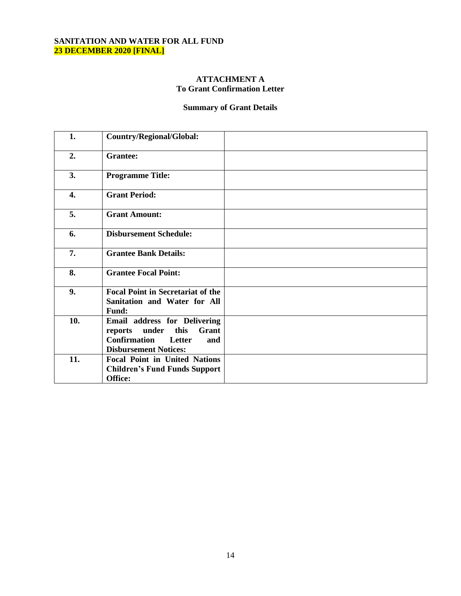## **ATTACHMENT A To Grant Confirmation Letter**

# **Summary of Grant Details**

| 1.  | <b>Country/Regional/Global:</b>                                                                                                           |  |
|-----|-------------------------------------------------------------------------------------------------------------------------------------------|--|
| 2.  | <b>Grantee:</b>                                                                                                                           |  |
| 3.  | <b>Programme Title:</b>                                                                                                                   |  |
| 4.  | <b>Grant Period:</b>                                                                                                                      |  |
| 5.  | <b>Grant Amount:</b>                                                                                                                      |  |
| 6.  | <b>Disbursement Schedule:</b>                                                                                                             |  |
| 7.  | <b>Grantee Bank Details:</b>                                                                                                              |  |
| 8.  | <b>Grantee Focal Point:</b>                                                                                                               |  |
| 9.  | <b>Focal Point in Secretariat of the</b><br>Sanitation and Water for All<br><b>Fund:</b>                                                  |  |
| 10. | Email address for Delivering<br>Grant<br>under<br>this<br>reports<br><b>Confirmation</b><br>Letter<br>and<br><b>Disbursement Notices:</b> |  |
| 11. | <b>Focal Point in United Nations</b><br><b>Children's Fund Funds Support</b><br>Office:                                                   |  |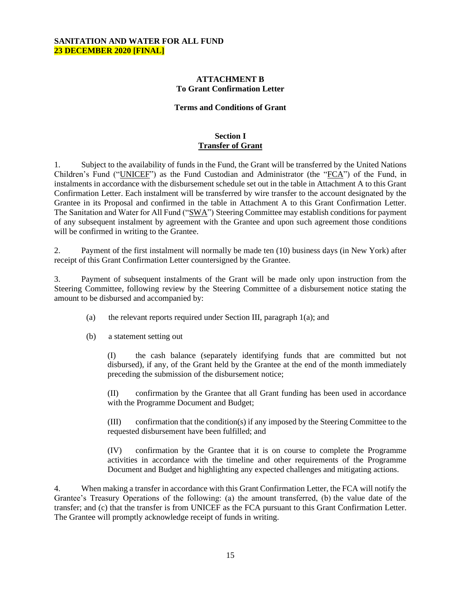#### **ATTACHMENT B To Grant Confirmation Letter**

#### **Terms and Conditions of Grant**

#### **Section I Transfer of Grant**

1. Subject to the availability of funds in the Fund, the Grant will be transferred by the United Nations Children's Fund ("UNICEF") as the Fund Custodian and Administrator (the "FCA") of the Fund, in instalments in accordance with the disbursement schedule set out in the table in Attachment A to this Grant Confirmation Letter. Each instalment will be transferred by wire transfer to the account designated by the Grantee in its Proposal and confirmed in the table in Attachment A to this Grant Confirmation Letter. The Sanitation and Water for All Fund ("SWA") Steering Committee may establish conditions for payment of any subsequent instalment by agreement with the Grantee and upon such agreement those conditions will be confirmed in writing to the Grantee.

2. Payment of the first instalment will normally be made ten (10) business days (in New York) after receipt of this Grant Confirmation Letter countersigned by the Grantee.

3. Payment of subsequent instalments of the Grant will be made only upon instruction from the Steering Committee, following review by the Steering Committee of a disbursement notice stating the amount to be disbursed and accompanied by:

- (a) the relevant reports required under Section III, paragraph 1(a); and
- (b) a statement setting out

(I) the cash balance (separately identifying funds that are committed but not disbursed), if any, of the Grant held by the Grantee at the end of the month immediately preceding the submission of the disbursement notice;

(II) confirmation by the Grantee that all Grant funding has been used in accordance with the Programme Document and Budget;

(III) confirmation that the condition(s) if any imposed by the Steering Committee to the requested disbursement have been fulfilled; and

(IV) confirmation by the Grantee that it is on course to complete the Programme activities in accordance with the timeline and other requirements of the Programme Document and Budget and highlighting any expected challenges and mitigating actions.

4. When making a transfer in accordance with this Grant Confirmation Letter, the FCA will notify the Grantee's Treasury Operations of the following: (a) the amount transferred, (b) the value date of the transfer; and (c) that the transfer is from UNICEF as the FCA pursuant to this Grant Confirmation Letter. The Grantee will promptly acknowledge receipt of funds in writing.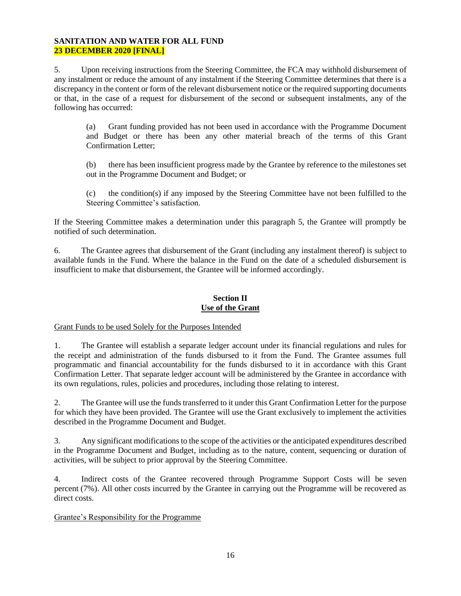5. Upon receiving instructions from the Steering Committee, the FCA may withhold disbursement of any instalment or reduce the amount of any instalment if the Steering Committee determines that there is a discrepancy in the content or form of the relevant disbursement notice or the required supporting documents or that, in the case of a request for disbursement of the second or subsequent instalments, any of the following has occurred:

(a) Grant funding provided has not been used in accordance with the Programme Document and Budget or there has been any other material breach of the terms of this Grant Confirmation Letter;

(b) there has been insufficient progress made by the Grantee by reference to the milestones set out in the Programme Document and Budget; or

(c) the condition(s) if any imposed by the Steering Committee have not been fulfilled to the Steering Committee's satisfaction.

If the Steering Committee makes a determination under this paragraph 5, the Grantee will promptly be notified of such determination.

6. The Grantee agrees that disbursement of the Grant (including any instalment thereof) is subject to available funds in the Fund. Where the balance in the Fund on the date of a scheduled disbursement is insufficient to make that disbursement, the Grantee will be informed accordingly.

#### **Section II Use of the Grant**

Grant Funds to be used Solely for the Purposes Intended

1. The Grantee will establish a separate ledger account under its financial regulations and rules for the receipt and administration of the funds disbursed to it from the Fund. The Grantee assumes full programmatic and financial accountability for the funds disbursed to it in accordance with this Grant Confirmation Letter. That separate ledger account will be administered by the Grantee in accordance with its own regulations, rules, policies and procedures, including those relating to interest.

2. The Grantee will use the funds transferred to it under this Grant Confirmation Letter for the purpose for which they have been provided. The Grantee will use the Grant exclusively to implement the activities described in the Programme Document and Budget.

3. Any significant modifications to the scope of the activities or the anticipated expenditures described in the Programme Document and Budget, including as to the nature, content, sequencing or duration of activities, will be subject to prior approval by the Steering Committee.

4. Indirect costs of the Grantee recovered through Programme Support Costs will be seven percent (7%). All other costs incurred by the Grantee in carrying out the Programme will be recovered as direct costs.

# Grantee's Responsibility for the Programme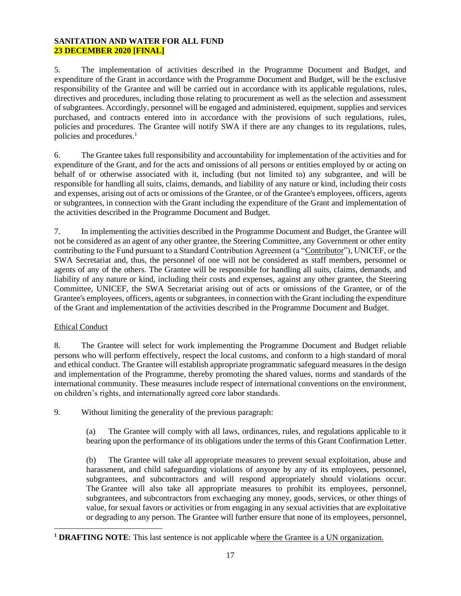5. The implementation of activities described in the Programme Document and Budget, and expenditure of the Grant in accordance with the Programme Document and Budget, will be the exclusive responsibility of the Grantee and will be carried out in accordance with its applicable regulations, rules, directives and procedures, including those relating to procurement as well as the selection and assessment of subgrantees. Accordingly, personnel will be engaged and administered, equipment, supplies and services purchased, and contracts entered into in accordance with the provisions of such regulations, rules, policies and procedures. The Grantee will notify SWA if there are any changes to its regulations, rules, policies and procedures.<sup>1</sup>

6. The Grantee takes full responsibility and accountability for implementation of the activities and for expenditure of the Grant, and for the acts and omissions of all persons or entities employed by or acting on behalf of or otherwise associated with it, including (but not limited to) any subgrantee, and will be responsible for handling all suits, claims, demands, and liability of any nature or kind, including their costs and expenses, arising out of acts or omissions of the Grantee, or of the Grantee's employees, officers, agents or subgrantees, in connection with the Grant including the expenditure of the Grant and implementation of the activities described in the Programme Document and Budget.

7. In implementing the activities described in the Programme Document and Budget, the Grantee will not be considered as an agent of any other grantee, the Steering Committee, any Government or other entity contributing to the Fund pursuant to a Standard Contribution Agreement (a "Contributor"), UNICEF, or the SWA Secretariat and, thus, the personnel of one will not be considered as staff members, personnel or agents of any of the others. The Grantee will be responsible for handling all suits, claims, demands, and liability of any nature or kind, including their costs and expenses, against any other grantee, the Steering Committee, UNICEF, the SWA Secretariat arising out of acts or omissions of the Grantee, or of the Grantee's employees, officers, agents or subgrantees, in connection with the Grant including the expenditure of the Grant and implementation of the activities described in the Programme Document and Budget.

# Ethical Conduct

8. The Grantee will select for work implementing the Programme Document and Budget reliable persons who will perform effectively, respect the local customs, and conform to a high standard of moral and ethical conduct. The Grantee will establish appropriate programmatic safeguard measures in the design and implementation of the Programme, thereby promoting the shared values, norms and standards of the international community. These measures include respect of international conventions on the environment, on children's rights, and internationally agreed core labor standards.

9. Without limiting the generality of the previous paragraph:

(a) The Grantee will comply with all laws, ordinances, rules, and regulations applicable to it bearing upon the performance of its obligations under the terms of this Grant Confirmation Letter.

(b) The Grantee will take all appropriate measures to prevent sexual exploitation, abuse and harassment, and child safeguarding violations of anyone by any of its employees, personnel, subgrantees, and subcontractors and will respond appropriately should violations occur. The Grantee will also take all appropriate measures to prohibit its employees, personnel, subgrantees, and subcontractors from exchanging any money, goods, services, or other things of value, for sexual favors or activities or from engaging in any sexual activities that are exploitative or degrading to any person. The Grantee will further ensure that none of its employees, personnel,

**<sup>1</sup> DRAFTING NOTE**: This last sentence is not applicable where the Grantee is a UN organization.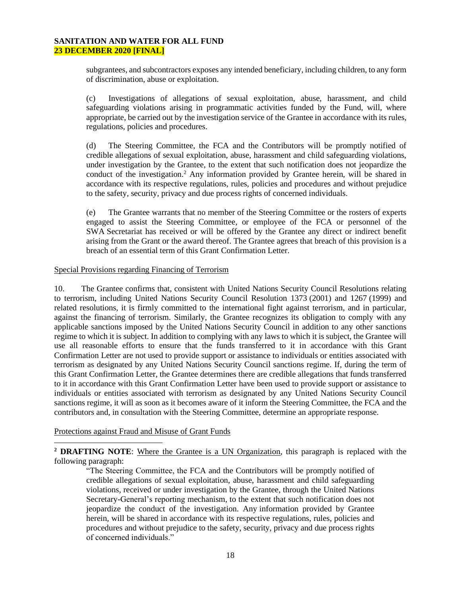subgrantees, and subcontractors exposes any intended beneficiary, including children, to any form of discrimination, abuse or exploitation.

(c) Investigations of allegations of sexual exploitation, abuse, harassment, and child safeguarding violations arising in programmatic activities funded by the Fund, will, where appropriate, be carried out by the investigation service of the Grantee in accordance with its rules, regulations, policies and procedures.

(d) The Steering Committee, the FCA and the Contributors will be promptly notified of credible allegations of sexual exploitation, abuse, harassment and child safeguarding violations, under investigation by the Grantee, to the extent that such notification does not jeopardize the conduct of the investigation.<sup>2</sup> Any information provided by Grantee herein, will be shared in accordance with its respective regulations, rules, policies and procedures and without prejudice to the safety, security, privacy and due process rights of concerned individuals.

(e) The Grantee warrants that no member of the Steering Committee or the rosters of experts engaged to assist the Steering Committee, or employee of the FCA or personnel of the SWA Secretariat has received or will be offered by the Grantee any direct or indirect benefit arising from the Grant or the award thereof. The Grantee agrees that breach of this provision is a breach of an essential term of this Grant Confirmation Letter.

#### Special Provisions regarding Financing of Terrorism

10. The Grantee confirms that, consistent with United Nations Security Council Resolutions relating to terrorism, including United Nations Security Council Resolution 1373 (2001) and 1267 (1999) and related resolutions, it is firmly committed to the international fight against terrorism, and in particular, against the financing of terrorism. Similarly, the Grantee recognizes its obligation to comply with any applicable sanctions imposed by the United Nations Security Council in addition to any other sanctions regime to which it is subject. In addition to complying with any laws to which it is subject, the Grantee will use all reasonable efforts to ensure that the funds transferred to it in accordance with this Grant Confirmation Letter are not used to provide support or assistance to individuals or entities associated with terrorism as designated by any United Nations Security Council sanctions regime. If, during the term of this Grant Confirmation Letter, the Grantee determines there are credible allegations that funds transferred to it in accordance with this Grant Confirmation Letter have been used to provide support or assistance to individuals or entities associated with terrorism as designated by any United Nations Security Council sanctions regime, it will as soon as it becomes aware of it inform the Steering Committee, the FCA and the contributors and, in consultation with the Steering Committee, determine an appropriate response.

#### Protections against Fraud and Misuse of Grant Funds

**<sup>2</sup> DRAFTING NOTE**: Where the Grantee is a UN Organization, this paragraph is replaced with the following paragraph:

"The Steering Committee, the FCA and the Contributors will be promptly notified of credible allegations of sexual exploitation, abuse, harassment and child safeguarding violations, received or under investigation by the Grantee, through the United Nations Secretary-General's reporting mechanism, to the extent that such notification does not jeopardize the conduct of the investigation. Any information provided by Grantee herein, will be shared in accordance with its respective regulations, rules, policies and procedures and without prejudice to the safety, security, privacy and due process rights of concerned individuals."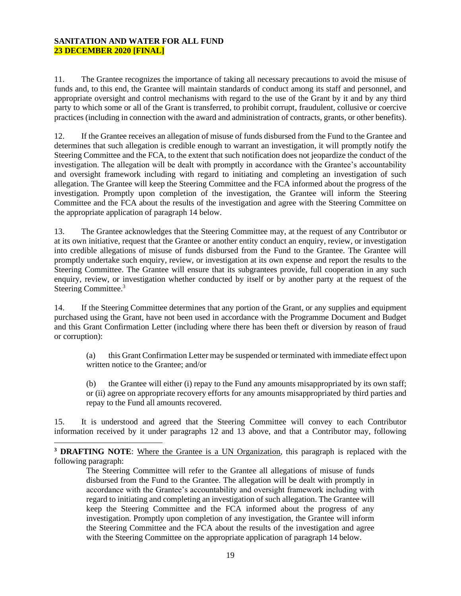11. The Grantee recognizes the importance of taking all necessary precautions to avoid the misuse of funds and, to this end, the Grantee will maintain standards of conduct among its staff and personnel, and appropriate oversight and control mechanisms with regard to the use of the Grant by it and by any third party to which some or all of the Grant is transferred, to prohibit corrupt, fraudulent, collusive or coercive practices (including in connection with the award and administration of contracts, grants, or other benefits).

12. If the Grantee receives an allegation of misuse of funds disbursed from the Fund to the Grantee and determines that such allegation is credible enough to warrant an investigation, it will promptly notify the Steering Committee and the FCA, to the extent that such notification does not jeopardize the conduct of the investigation. The allegation will be dealt with promptly in accordance with the Grantee's accountability and oversight framework including with regard to initiating and completing an investigation of such allegation. The Grantee will keep the Steering Committee and the FCA informed about the progress of the investigation. Promptly upon completion of the investigation, the Grantee will inform the Steering Committee and the FCA about the results of the investigation and agree with the Steering Committee on the appropriate application of paragraph 14 below.

13. The Grantee acknowledges that the Steering Committee may, at the request of any Contributor or at its own initiative, request that the Grantee or another entity conduct an enquiry, review, or investigation into credible allegations of misuse of funds disbursed from the Fund to the Grantee. The Grantee will promptly undertake such enquiry, review, or investigation at its own expense and report the results to the Steering Committee. The Grantee will ensure that its subgrantees provide, full cooperation in any such enquiry, review, or investigation whether conducted by itself or by another party at the request of the Steering Committee.<sup>3</sup>

14. If the Steering Committee determines that any portion of the Grant, or any supplies and equipment purchased using the Grant, have not been used in accordance with the Programme Document and Budget and this Grant Confirmation Letter (including where there has been theft or diversion by reason of fraud or corruption):

(a) this Grant Confirmation Letter may be suspended or terminated with immediate effect upon written notice to the Grantee; and/or

(b) the Grantee will either (i) repay to the Fund any amounts misappropriated by its own staff; or (ii) agree on appropriate recovery efforts for any amounts misappropriated by third parties and repay to the Fund all amounts recovered.

15. It is understood and agreed that the Steering Committee will convey to each Contributor information received by it under paragraphs 12 and 13 above, and that a Contributor may, following

**<sup>3</sup> DRAFTING NOTE**: Where the Grantee is a UN Organization, this paragraph is replaced with the following paragraph:

The Steering Committee will refer to the Grantee all allegations of misuse of funds disbursed from the Fund to the Grantee. The allegation will be dealt with promptly in accordance with the Grantee's accountability and oversight framework including with regard to initiating and completing an investigation of such allegation. The Grantee will keep the Steering Committee and the FCA informed about the progress of any investigation. Promptly upon completion of any investigation, the Grantee will inform the Steering Committee and the FCA about the results of the investigation and agree with the Steering Committee on the appropriate application of paragraph 14 below.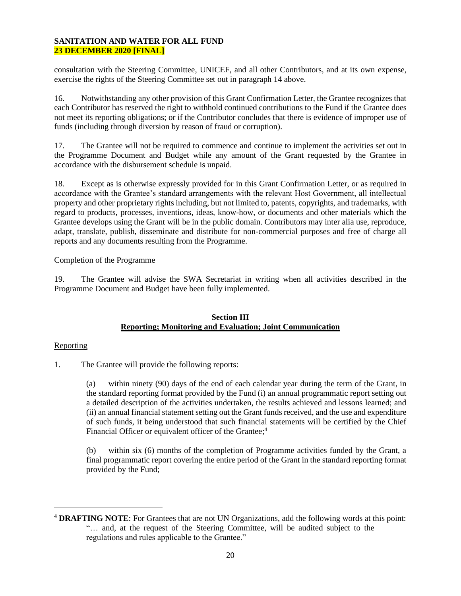consultation with the Steering Committee, UNICEF, and all other Contributors, and at its own expense, exercise the rights of the Steering Committee set out in paragraph 14 above.

16. Notwithstanding any other provision of this Grant Confirmation Letter, the Grantee recognizes that each Contributor has reserved the right to withhold continued contributions to the Fund if the Grantee does not meet its reporting obligations; or if the Contributor concludes that there is evidence of improper use of funds (including through diversion by reason of fraud or corruption).

17. The Grantee will not be required to commence and continue to implement the activities set out in the Programme Document and Budget while any amount of the Grant requested by the Grantee in accordance with the disbursement schedule is unpaid.

18. Except as is otherwise expressly provided for in this Grant Confirmation Letter, or as required in accordance with the Grantee's standard arrangements with the relevant Host Government, all intellectual property and other proprietary rights including, but not limited to, patents, copyrights, and trademarks, with regard to products, processes, inventions, ideas, know-how, or documents and other materials which the Grantee develops using the Grant will be in the public domain. Contributors may inter alia use, reproduce, adapt, translate, publish, disseminate and distribute for non-commercial purposes and free of charge all reports and any documents resulting from the Programme.

## Completion of the Programme

19. The Grantee will advise the SWA Secretariat in writing when all activities described in the Programme Document and Budget have been fully implemented.

#### **Section III Reporting; Monitoring and Evaluation; Joint Communication**

#### Reporting

1. The Grantee will provide the following reports:

(a) within ninety (90) days of the end of each calendar year during the term of the Grant, in the standard reporting format provided by the Fund (i) an annual programmatic report setting out a detailed description of the activities undertaken, the results achieved and lessons learned; and (ii) an annual financial statement setting out the Grant funds received, and the use and expenditure of such funds, it being understood that such financial statements will be certified by the Chief Financial Officer or equivalent officer of the Grantee;<sup>4</sup>

(b) within six (6) months of the completion of Programme activities funded by the Grant, a final programmatic report covering the entire period of the Grant in the standard reporting format provided by the Fund;

**<sup>4</sup> DRAFTING NOTE**: For Grantees that are not UN Organizations, add the following words at this point: "… and, at the request of the Steering Committee, will be audited subject to the regulations and rules applicable to the Grantee."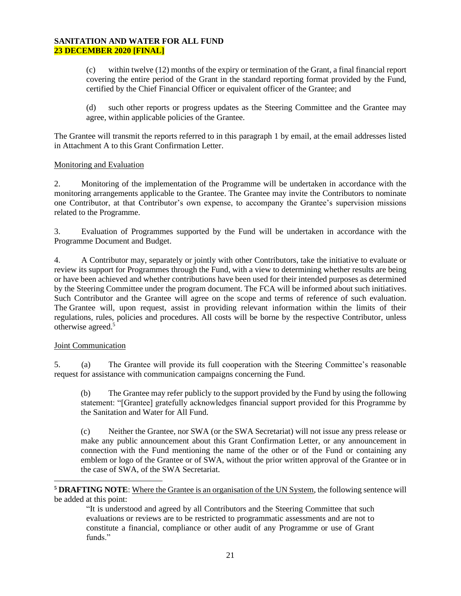(c) within twelve (12) months of the expiry or termination of the Grant, a final financial report covering the entire period of the Grant in the standard reporting format provided by the Fund, certified by the Chief Financial Officer or equivalent officer of the Grantee; and

(d) such other reports or progress updates as the Steering Committee and the Grantee may agree, within applicable policies of the Grantee.

The Grantee will transmit the reports referred to in this paragraph 1 by email, at the email addresses listed in Attachment A to this Grant Confirmation Letter.

#### Monitoring and Evaluation

2. Monitoring of the implementation of the Programme will be undertaken in accordance with the monitoring arrangements applicable to the Grantee. The Grantee may invite the Contributors to nominate one Contributor, at that Contributor's own expense, to accompany the Grantee's supervision missions related to the Programme.

3. Evaluation of Programmes supported by the Fund will be undertaken in accordance with the Programme Document and Budget.

4. A Contributor may, separately or jointly with other Contributors, take the initiative to evaluate or review its support for Programmes through the Fund, with a view to determining whether results are being or have been achieved and whether contributions have been used for their intended purposes as determined by the Steering Committee under the program document. The FCA will be informed about such initiatives. Such Contributor and the Grantee will agree on the scope and terms of reference of such evaluation. The Grantee will, upon request, assist in providing relevant information within the limits of their regulations, rules, policies and procedures. All costs will be borne by the respective Contributor, unless otherwise agreed.<sup>5</sup>

#### Joint Communication

5. (a) The Grantee will provide its full cooperation with the Steering Committee's reasonable request for assistance with communication campaigns concerning the Fund.

(b) The Grantee may refer publicly to the support provided by the Fund by using the following statement: "[Grantee] gratefully acknowledges financial support provided for this Programme by the Sanitation and Water for All Fund.

(c) Neither the Grantee, nor SWA (or the SWA Secretariat) will not issue any press release or make any public announcement about this Grant Confirmation Letter, or any announcement in connection with the Fund mentioning the name of the other or of the Fund or containing any emblem or logo of the Grantee or of SWA, without the prior written approval of the Grantee or in the case of SWA, of the SWA Secretariat.

**<sup>5</sup> DRAFTING NOTE**: Where the Grantee is an organisation of the UN System, the following sentence will be added at this point:

"It is understood and agreed by all Contributors and the Steering Committee that such evaluations or reviews are to be restricted to programmatic assessments and are not to constitute a financial, compliance or other audit of any Programme or use of Grant funds."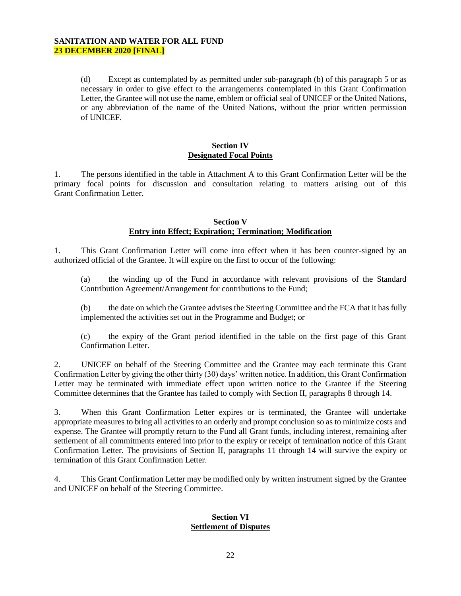(d) Except as contemplated by as permitted under sub-paragraph (b) of this paragraph 5 or as necessary in order to give effect to the arrangements contemplated in this Grant Confirmation Letter, the Grantee will not use the name, emblem or official seal of UNICEF or the United Nations, or any abbreviation of the name of the United Nations, without the prior written permission of UNICEF.

#### **Section IV Designated Focal Points**

1. The persons identified in the table in Attachment A to this Grant Confirmation Letter will be the primary focal points for discussion and consultation relating to matters arising out of this Grant Confirmation Letter.

#### **Section V Entry into Effect; Expiration; Termination; Modification**

1. This Grant Confirmation Letter will come into effect when it has been counter-signed by an authorized official of the Grantee. It will expire on the first to occur of the following:

(a) the winding up of the Fund in accordance with relevant provisions of the Standard Contribution Agreement/Arrangement for contributions to the Fund;

(b) the date on which the Grantee advises the Steering Committee and the FCA that it has fully implemented the activities set out in the Programme and Budget; or

(c) the expiry of the Grant period identified in the table on the first page of this Grant Confirmation Letter.

2. UNICEF on behalf of the Steering Committee and the Grantee may each terminate this Grant Confirmation Letter by giving the other thirty (30) days' written notice. In addition, this Grant Confirmation Letter may be terminated with immediate effect upon written notice to the Grantee if the Steering Committee determines that the Grantee has failed to comply with Section II, paragraphs 8 through 14.

3. When this Grant Confirmation Letter expires or is terminated, the Grantee will undertake appropriate measures to bring all activities to an orderly and prompt conclusion so as to minimize costs and expense. The Grantee will promptly return to the Fund all Grant funds, including interest, remaining after settlement of all commitments entered into prior to the expiry or receipt of termination notice of this Grant Confirmation Letter. The provisions of Section II, paragraphs 11 through 14 will survive the expiry or termination of this Grant Confirmation Letter.

4. This Grant Confirmation Letter may be modified only by written instrument signed by the Grantee and UNICEF on behalf of the Steering Committee.

#### **Section VI Settlement of Disputes**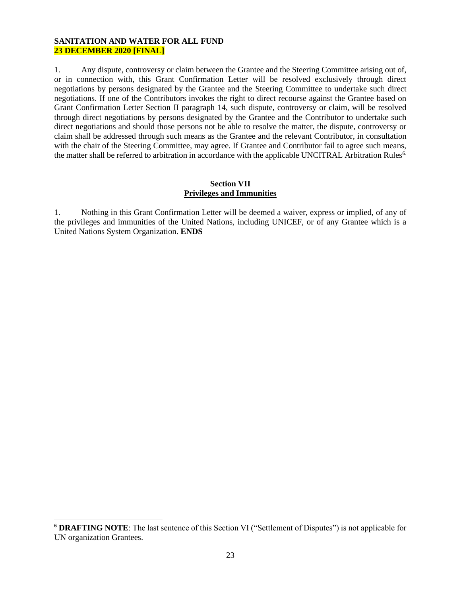1. Any dispute, controversy or claim between the Grantee and the Steering Committee arising out of, or in connection with, this Grant Confirmation Letter will be resolved exclusively through direct negotiations by persons designated by the Grantee and the Steering Committee to undertake such direct negotiations. If one of the Contributors invokes the right to direct recourse against the Grantee based on Grant Confirmation Letter Section II paragraph 14, such dispute, controversy or claim, will be resolved through direct negotiations by persons designated by the Grantee and the Contributor to undertake such direct negotiations and should those persons not be able to resolve the matter, the dispute, controversy or claim shall be addressed through such means as the Grantee and the relevant Contributor, in consultation with the chair of the Steering Committee, may agree. If Grantee and Contributor fail to agree such means, the matter shall be referred to arbitration in accordance with the applicable UNCITRAL Arbitration Rules<sup>6.</sup>

## **Section VII Privileges and Immunities**

1. Nothing in this Grant Confirmation Letter will be deemed a waiver, express or implied, of any of the privileges and immunities of the United Nations, including UNICEF, or of any Grantee which is a United Nations System Organization. **ENDS**

**<sup>6</sup> DRAFTING NOTE**: The last sentence of this Section VI ("Settlement of Disputes") is not applicable for UN organization Grantees.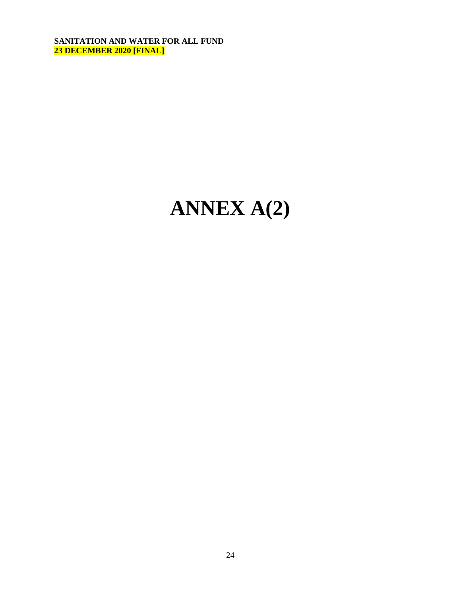# **ANNEX A(2)**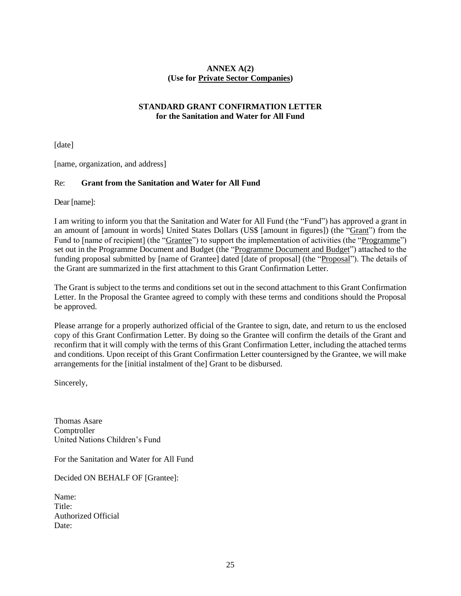# **ANNEX A(2) (Use for Private Sector Companies)**

## **STANDARD GRANT CONFIRMATION LETTER for the Sanitation and Water for All Fund**

[date]

[name, organization, and address]

## Re: **Grant from the Sanitation and Water for All Fund**

Dear [name]:

I am writing to inform you that the Sanitation and Water for All Fund (the "Fund") has approved a grant in an amount of [amount in words] United States Dollars (US\$ [amount in figures]) (the "Grant") from the Fund to [name of recipient] (the "Grantee") to support the implementation of activities (the "Programme") set out in the Programme Document and Budget (the "Programme Document and Budget") attached to the funding proposal submitted by [name of Grantee] dated [date of proposal] (the "Proposal"). The details of the Grant are summarized in the first attachment to this Grant Confirmation Letter.

The Grant is subject to the terms and conditions set out in the second attachment to this Grant Confirmation Letter. In the Proposal the Grantee agreed to comply with these terms and conditions should the Proposal be approved.

Please arrange for a properly authorized official of the Grantee to sign, date, and return to us the enclosed copy of this Grant Confirmation Letter. By doing so the Grantee will confirm the details of the Grant and reconfirm that it will comply with the terms of this Grant Confirmation Letter, including the attached terms and conditions. Upon receipt of this Grant Confirmation Letter countersigned by the Grantee, we will make arrangements for the [initial instalment of the] Grant to be disbursed.

Sincerely,

Thomas Asare Comptroller United Nations Children's Fund

For the Sanitation and Water for All Fund

Decided ON BEHALF OF [Grantee]:

Name: Title<sup>.</sup> Authorized Official Date: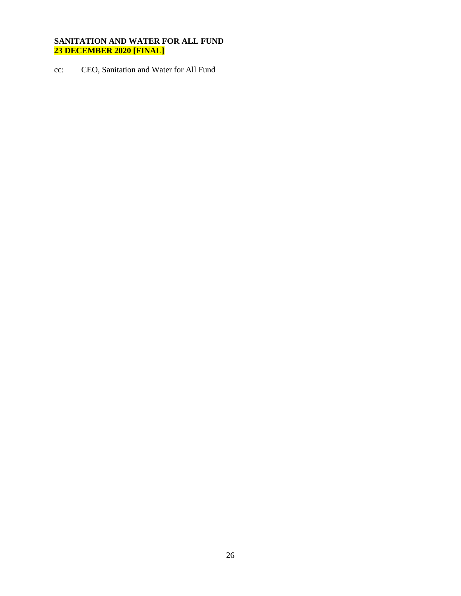cc: CEO, Sanitation and Water for All Fund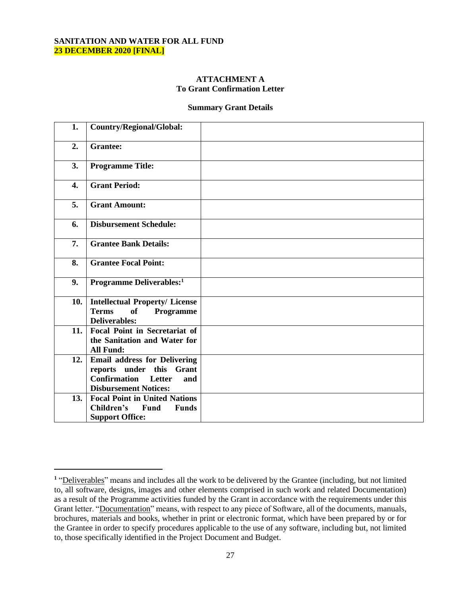#### **ATTACHMENT A To Grant Confirmation Letter**

#### **Summary Grant Details**

| 1.  | Country/Regional/Global:                                                                                                             |  |
|-----|--------------------------------------------------------------------------------------------------------------------------------------|--|
| 2.  | <b>Grantee:</b>                                                                                                                      |  |
| 3.  | <b>Programme Title:</b>                                                                                                              |  |
| 4.  | <b>Grant Period:</b>                                                                                                                 |  |
| 5.  | <b>Grant Amount:</b>                                                                                                                 |  |
| 6.  | <b>Disbursement Schedule:</b>                                                                                                        |  |
| 7.  | <b>Grantee Bank Details:</b>                                                                                                         |  |
| 8.  | <b>Grantee Focal Point:</b>                                                                                                          |  |
| 9.  | Programme Deliverables: <sup>1</sup>                                                                                                 |  |
| 10. | <b>Intellectual Property/ License</b><br><b>Terms</b><br>of<br>Programme<br><b>Deliverables:</b>                                     |  |
| 11. | <b>Focal Point in Secretariat of</b><br>the Sanitation and Water for<br><b>All Fund:</b>                                             |  |
| 12. | <b>Email address for Delivering</b><br>reports under this Grant<br><b>Confirmation</b> Letter<br>and<br><b>Disbursement Notices:</b> |  |
| 13. | <b>Focal Point in United Nations</b><br>Children's<br>Fund<br><b>Funds</b><br><b>Support Office:</b>                                 |  |

<sup>&</sup>lt;sup>1</sup> "Deliverables" means and includes all the work to be delivered by the Grantee (including, but not limited to, all software, designs, images and other elements comprised in such work and related Documentation) as a result of the Programme activities funded by the Grant in accordance with the requirements under this Grant letter. "Documentation" means, with respect to any piece of Software, all of the documents, manuals, brochures, materials and books, whether in print or electronic format, which have been prepared by or for the Grantee in order to specify procedures applicable to the use of any software, including but, not limited to, those specifically identified in the Project Document and Budget.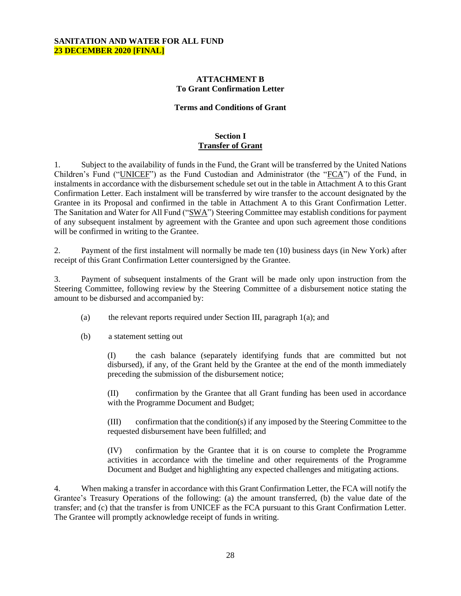#### **ATTACHMENT B To Grant Confirmation Letter**

#### **Terms and Conditions of Grant**

#### **Section I Transfer of Grant**

1. Subject to the availability of funds in the Fund, the Grant will be transferred by the United Nations Children's Fund ("UNICEF") as the Fund Custodian and Administrator (the "FCA") of the Fund, in instalments in accordance with the disbursement schedule set out in the table in Attachment A to this Grant Confirmation Letter. Each instalment will be transferred by wire transfer to the account designated by the Grantee in its Proposal and confirmed in the table in Attachment A to this Grant Confirmation Letter. The Sanitation and Water for All Fund ("SWA") Steering Committee may establish conditions for payment of any subsequent instalment by agreement with the Grantee and upon such agreement those conditions will be confirmed in writing to the Grantee.

2. Payment of the first instalment will normally be made ten (10) business days (in New York) after receipt of this Grant Confirmation Letter countersigned by the Grantee.

3. Payment of subsequent instalments of the Grant will be made only upon instruction from the Steering Committee, following review by the Steering Committee of a disbursement notice stating the amount to be disbursed and accompanied by:

- (a) the relevant reports required under Section III, paragraph 1(a); and
- (b) a statement setting out

(I) the cash balance (separately identifying funds that are committed but not disbursed), if any, of the Grant held by the Grantee at the end of the month immediately preceding the submission of the disbursement notice;

(II) confirmation by the Grantee that all Grant funding has been used in accordance with the Programme Document and Budget;

(III) confirmation that the condition(s) if any imposed by the Steering Committee to the requested disbursement have been fulfilled; and

(IV) confirmation by the Grantee that it is on course to complete the Programme activities in accordance with the timeline and other requirements of the Programme Document and Budget and highlighting any expected challenges and mitigating actions.

4. When making a transfer in accordance with this Grant Confirmation Letter, the FCA will notify the Grantee's Treasury Operations of the following: (a) the amount transferred, (b) the value date of the transfer; and (c) that the transfer is from UNICEF as the FCA pursuant to this Grant Confirmation Letter. The Grantee will promptly acknowledge receipt of funds in writing.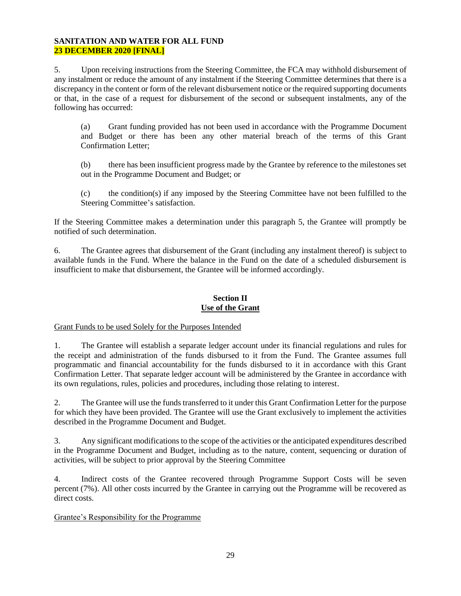5. Upon receiving instructions from the Steering Committee, the FCA may withhold disbursement of any instalment or reduce the amount of any instalment if the Steering Committee determines that there is a discrepancy in the content or form of the relevant disbursement notice or the required supporting documents or that, in the case of a request for disbursement of the second or subsequent instalments, any of the following has occurred:

(a) Grant funding provided has not been used in accordance with the Programme Document and Budget or there has been any other material breach of the terms of this Grant Confirmation Letter;

(b) there has been insufficient progress made by the Grantee by reference to the milestones set out in the Programme Document and Budget; or

(c) the condition(s) if any imposed by the Steering Committee have not been fulfilled to the Steering Committee's satisfaction.

If the Steering Committee makes a determination under this paragraph 5, the Grantee will promptly be notified of such determination.

6. The Grantee agrees that disbursement of the Grant (including any instalment thereof) is subject to available funds in the Fund. Where the balance in the Fund on the date of a scheduled disbursement is insufficient to make that disbursement, the Grantee will be informed accordingly.

#### **Section II Use of the Grant**

Grant Funds to be used Solely for the Purposes Intended

1. The Grantee will establish a separate ledger account under its financial regulations and rules for the receipt and administration of the funds disbursed to it from the Fund. The Grantee assumes full programmatic and financial accountability for the funds disbursed to it in accordance with this Grant Confirmation Letter. That separate ledger account will be administered by the Grantee in accordance with its own regulations, rules, policies and procedures, including those relating to interest.

2. The Grantee will use the funds transferred to it under this Grant Confirmation Letter for the purpose for which they have been provided. The Grantee will use the Grant exclusively to implement the activities described in the Programme Document and Budget.

3. Any significant modifications to the scope of the activities or the anticipated expenditures described in the Programme Document and Budget, including as to the nature, content, sequencing or duration of activities, will be subject to prior approval by the Steering Committee

4. Indirect costs of the Grantee recovered through Programme Support Costs will be seven percent (7%). All other costs incurred by the Grantee in carrying out the Programme will be recovered as direct costs.

# Grantee's Responsibility for the Programme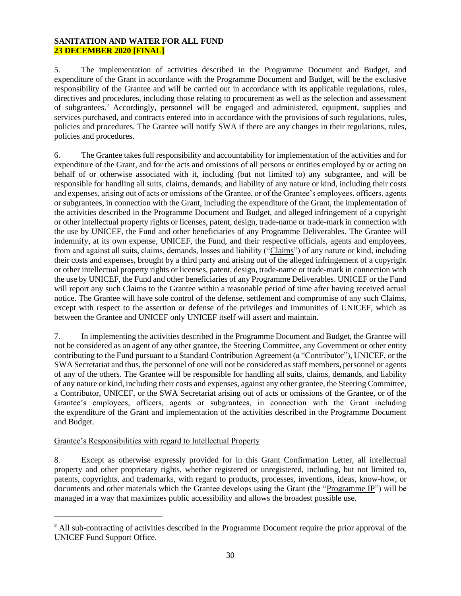5. The implementation of activities described in the Programme Document and Budget, and expenditure of the Grant in accordance with the Programme Document and Budget, will be the exclusive responsibility of the Grantee and will be carried out in accordance with its applicable regulations, rules, directives and procedures, including those relating to procurement as well as the selection and assessment of subgrantees.<sup>2</sup> Accordingly, personnel will be engaged and administered, equipment, supplies and services purchased, and contracts entered into in accordance with the provisions of such regulations, rules, policies and procedures. The Grantee will notify SWA if there are any changes in their regulations, rules, policies and procedures.

6. The Grantee takes full responsibility and accountability for implementation of the activities and for expenditure of the Grant, and for the acts and omissions of all persons or entities employed by or acting on behalf of or otherwise associated with it, including (but not limited to) any subgrantee, and will be responsible for handling all suits, claims, demands, and liability of any nature or kind, including their costs and expenses, arising out of acts or omissions of the Grantee, or of the Grantee's employees, officers, agents or subgrantees, in connection with the Grant, including the expenditure of the Grant, the implementation of the activities described in the Programme Document and Budget, and alleged infringement of a copyright or other intellectual property rights or licenses, patent, design, trade-name or trade-mark in connection with the use by UNICEF, the Fund and other beneficiaries of any Programme Deliverables. The Grantee will indemnify, at its own expense, UNICEF, the Fund, and their respective officials, agents and employees, from and against all suits, claims, demands, losses and liability ("Claims") of any nature or kind, including their costs and expenses, brought by a third party and arising out of the alleged infringement of a copyright or other intellectual property rights or licenses, patent, design, trade-name or trade-mark in connection with the use by UNICEF, the Fund and other beneficiaries of any Programme Deliverables. UNICEF or the Fund will report any such Claims to the Grantee within a reasonable period of time after having received actual notice. The Grantee will have sole control of the defense, settlement and compromise of any such Claims, except with respect to the assertion or defense of the privileges and immunities of UNICEF, which as between the Grantee and UNICEF only UNICEF itself will assert and maintain.

7. In implementing the activities described in the Programme Document and Budget, the Grantee will not be considered as an agent of any other grantee, the Steering Committee, any Government or other entity contributing to the Fund pursuant to a Standard Contribution Agreement (a "Contributor"), UNICEF, or the SWA Secretariat and thus, the personnel of one will not be considered as staff members, personnel or agents of any of the others. The Grantee will be responsible for handling all suits, claims, demands, and liability of any nature or kind, including their costs and expenses, against any other grantee, the Steering Committee, a Contributor, UNICEF, or the SWA Secretariat arising out of acts or omissions of the Grantee, or of the Grantee's employees, officers, agents or subgrantees, in connection with the Grant including the expenditure of the Grant and implementation of the activities described in the Programme Document and Budget.

# Grantee's Responsibilities with regard to Intellectual Property

8. Except as otherwise expressly provided for in this Grant Confirmation Letter, all intellectual property and other proprietary rights, whether registered or unregistered, including, but not limited to, patents, copyrights, and trademarks, with regard to products, processes, inventions, ideas, know-how, or documents and other materials which the Grantee develops using the Grant (the "Programme IP") will be managed in a way that maximizes public accessibility and allows the broadest possible use.

**<sup>2</sup>** All sub-contracting of activities described in the Programme Document require the prior approval of the UNICEF Fund Support Office.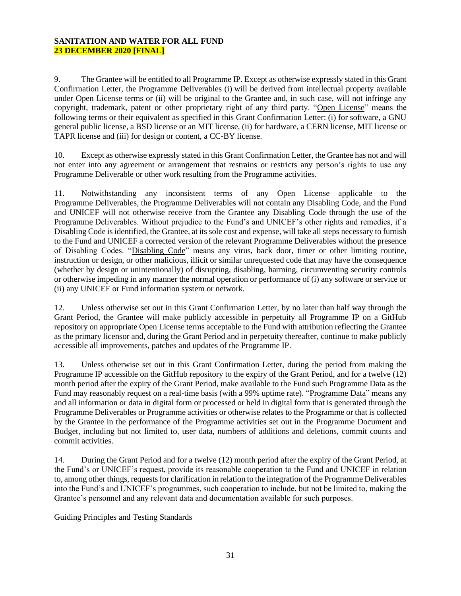9. The Grantee will be entitled to all Programme IP. Except as otherwise expressly stated in this Grant Confirmation Letter, the Programme Deliverables (i) will be derived from intellectual property available under Open License terms or (ii) will be original to the Grantee and, in such case, will not infringe any copyright, trademark, patent or other proprietary right of any third party. "Open License" means the following terms or their equivalent as specified in this Grant Confirmation Letter: (i) for software, a GNU general public license, a BSD license or an MIT license, (ii) for hardware, a CERN license, MIT license or TAPR license and (iii) for design or content, a CC-BY license.

10. Except as otherwise expressly stated in this Grant Confirmation Letter, the Grantee has not and will not enter into any agreement or arrangement that restrains or restricts any person's rights to use any Programme Deliverable or other work resulting from the Programme activities.

11. Notwithstanding any inconsistent terms of any Open License applicable to the Programme Deliverables, the Programme Deliverables will not contain any Disabling Code, and the Fund and UNICEF will not otherwise receive from the Grantee any Disabling Code through the use of the Programme Deliverables. Without prejudice to the Fund's and UNICEF's other rights and remedies, if a Disabling Code is identified, the Grantee, at its sole cost and expense, will take all steps necessary to furnish to the Fund and UNICEF a corrected version of the relevant Programme Deliverables without the presence of Disabling Codes. "Disabling Code" means any virus, back door, timer or other limiting routine, instruction or design, or other malicious, illicit or similar unrequested code that may have the consequence (whether by design or unintentionally) of disrupting, disabling, harming, circumventing security controls or otherwise impeding in any manner the normal operation or performance of (i) any software or service or (ii) any UNICEF or Fund information system or network.

12. Unless otherwise set out in this Grant Confirmation Letter, by no later than half way through the Grant Period, the Grantee will make publicly accessible in perpetuity all Programme IP on a GitHub repository on appropriate Open License terms acceptable to the Fund with attribution reflecting the Grantee as the primary licensor and, during the Grant Period and in perpetuity thereafter, continue to make publicly accessible all improvements, patches and updates of the Programme IP.

13. Unless otherwise set out in this Grant Confirmation Letter, during the period from making the Programme IP accessible on the GitHub repository to the expiry of the Grant Period, and for a twelve (12) month period after the expiry of the Grant Period, make available to the Fund such Programme Data as the Fund may reasonably request on a real-time basis (with a 99% uptime rate). "Programme Data" means any and all information or data in digital form or processed or held in digital form that is generated through the Programme Deliverables or Programme activities or otherwise relates to the Programme or that is collected by the Grantee in the performance of the Programme activities set out in the Programme Document and Budget, including but not limited to, user data, numbers of additions and deletions, commit counts and commit activities.

14. During the Grant Period and for a twelve (12) month period after the expiry of the Grant Period, at the Fund's or UNICEF's request, provide its reasonable cooperation to the Fund and UNICEF in relation to, among other things, requests for clarification in relation to the integration of the Programme Deliverables into the Fund's and UNICEF's programmes, such cooperation to include, but not be limited to, making the Grantee's personnel and any relevant data and documentation available for such purposes.

Guiding Principles and Testing Standards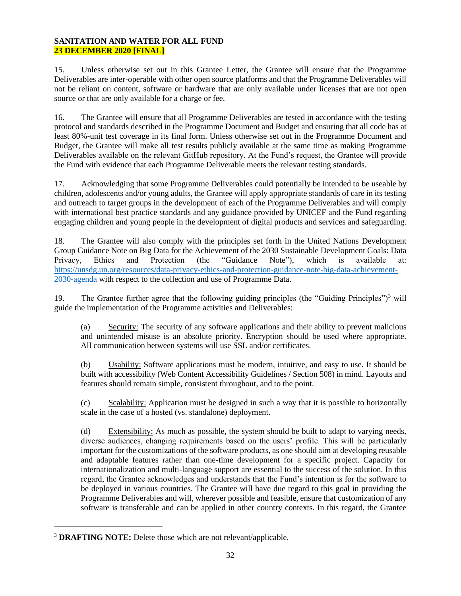15. Unless otherwise set out in this Grantee Letter, the Grantee will ensure that the Programme Deliverables are inter-operable with other open source platforms and that the Programme Deliverables will not be reliant on content, software or hardware that are only available under licenses that are not open source or that are only available for a charge or fee.

16. The Grantee will ensure that all Programme Deliverables are tested in accordance with the testing protocol and standards described in the Programme Document and Budget and ensuring that all code has at least 80%-unit test coverage in its final form. Unless otherwise set out in the Programme Document and Budget, the Grantee will make all test results publicly available at the same time as making Programme Deliverables available on the relevant GitHub repository. At the Fund's request, the Grantee will provide the Fund with evidence that each Programme Deliverable meets the relevant testing standards.

17. Acknowledging that some Programme Deliverables could potentially be intended to be useable by children, adolescents and/or young adults, the Grantee will apply appropriate standards of care in its testing and outreach to target groups in the development of each of the Programme Deliverables and will comply with international best practice standards and any guidance provided by UNICEF and the Fund regarding engaging children and young people in the development of digital products and services and safeguarding.

18. The Grantee will also comply with the principles set forth in the United Nations Development Group Guidance Note on Big Data for the Achievement of the 2030 Sustainable Development Goals: Data Privacy, Ethics and Protection (the "Guidance Note"), which is available at: [https://unsdg.un.org/resources/data-privacy-ethics-and-protection-guidance-note-big-data-achievement-](https://unsdg.un.org/resources/data-privacy-ethics-and-protection-guidance-note-big-data-achievement-2030-agenda)[2030-agenda](https://unsdg.un.org/resources/data-privacy-ethics-and-protection-guidance-note-big-data-achievement-2030-agenda) with respect to the collection and use of Programme Data.

19. The Grantee further agree that the following guiding principles (the "Guiding Principles")<sup>3</sup> will guide the implementation of the Programme activities and Deliverables:

(a) Security: The security of any software applications and their ability to prevent malicious and unintended misuse is an absolute priority. Encryption should be used where appropriate. All communication between systems will use SSL and/or certificates.

(b) Usability: Software applications must be modern, intuitive, and easy to use. It should be built with accessibility (Web Content Accessibility Guidelines / Section 508) in mind. Layouts and features should remain simple, consistent throughout, and to the point.

(c) Scalability: Application must be designed in such a way that it is possible to horizontally scale in the case of a hosted (vs. standalone) deployment.

(d) Extensibility: As much as possible, the system should be built to adapt to varying needs, diverse audiences, changing requirements based on the users' profile. This will be particularly important for the customizations of the software products, as one should aim at developing reusable and adaptable features rather than one-time development for a specific project. Capacity for internationalization and multi-language support are essential to the success of the solution. In this regard, the Grantee acknowledges and understands that the Fund's intention is for the software to be deployed in various countries. The Grantee will have due regard to this goal in providing the Programme Deliverables and will, wherever possible and feasible, ensure that customization of any software is transferable and can be applied in other country contexts. In this regard, the Grantee

<sup>3</sup> **DRAFTING NOTE:** Delete those which are not relevant/applicable.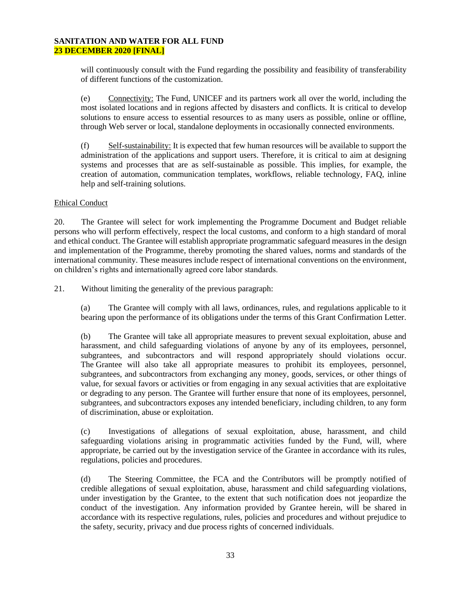will continuously consult with the Fund regarding the possibility and feasibility of transferability of different functions of the customization.

(e) Connectivity: The Fund, UNICEF and its partners work all over the world, including the most isolated locations and in regions affected by disasters and conflicts. It is critical to develop solutions to ensure access to essential resources to as many users as possible, online or offline, through Web server or local, standalone deployments in occasionally connected environments.

(f) Self-sustainability: It is expected that few human resources will be available to support the administration of the applications and support users. Therefore, it is critical to aim at designing systems and processes that are as self-sustainable as possible. This implies, for example, the creation of automation, communication templates, workflows, reliable technology, FAQ, inline help and self-training solutions.

## Ethical Conduct

20. The Grantee will select for work implementing the Programme Document and Budget reliable persons who will perform effectively, respect the local customs, and conform to a high standard of moral and ethical conduct. The Grantee will establish appropriate programmatic safeguard measures in the design and implementation of the Programme, thereby promoting the shared values, norms and standards of the international community. These measures include respect of international conventions on the environment, on children's rights and internationally agreed core labor standards.

21. Without limiting the generality of the previous paragraph:

(a) The Grantee will comply with all laws, ordinances, rules, and regulations applicable to it bearing upon the performance of its obligations under the terms of this Grant Confirmation Letter.

(b) The Grantee will take all appropriate measures to prevent sexual exploitation, abuse and harassment, and child safeguarding violations of anyone by any of its employees, personnel, subgrantees, and subcontractors and will respond appropriately should violations occur. The Grantee will also take all appropriate measures to prohibit its employees, personnel, subgrantees, and subcontractors from exchanging any money, goods, services, or other things of value, for sexual favors or activities or from engaging in any sexual activities that are exploitative or degrading to any person. The Grantee will further ensure that none of its employees, personnel, subgrantees, and subcontractors exposes any intended beneficiary, including children, to any form of discrimination, abuse or exploitation.

(c) Investigations of allegations of sexual exploitation, abuse, harassment, and child safeguarding violations arising in programmatic activities funded by the Fund, will, where appropriate, be carried out by the investigation service of the Grantee in accordance with its rules, regulations, policies and procedures.

(d) The Steering Committee, the FCA and the Contributors will be promptly notified of credible allegations of sexual exploitation, abuse, harassment and child safeguarding violations, under investigation by the Grantee, to the extent that such notification does not jeopardize the conduct of the investigation. Any information provided by Grantee herein, will be shared in accordance with its respective regulations, rules, policies and procedures and without prejudice to the safety, security, privacy and due process rights of concerned individuals.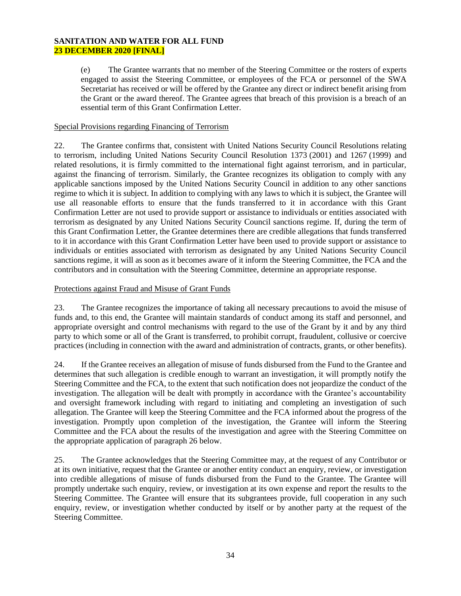(e) The Grantee warrants that no member of the Steering Committee or the rosters of experts engaged to assist the Steering Committee, or employees of the FCA or personnel of the SWA Secretariat has received or will be offered by the Grantee any direct or indirect benefit arising from the Grant or the award thereof. The Grantee agrees that breach of this provision is a breach of an essential term of this Grant Confirmation Letter.

## Special Provisions regarding Financing of Terrorism

22. The Grantee confirms that, consistent with United Nations Security Council Resolutions relating to terrorism, including United Nations Security Council Resolution 1373 (2001) and 1267 (1999) and related resolutions, it is firmly committed to the international fight against terrorism, and in particular, against the financing of terrorism. Similarly, the Grantee recognizes its obligation to comply with any applicable sanctions imposed by the United Nations Security Council in addition to any other sanctions regime to which it is subject. In addition to complying with any laws to which it is subject, the Grantee will use all reasonable efforts to ensure that the funds transferred to it in accordance with this Grant Confirmation Letter are not used to provide support or assistance to individuals or entities associated with terrorism as designated by any United Nations Security Council sanctions regime. If, during the term of this Grant Confirmation Letter, the Grantee determines there are credible allegations that funds transferred to it in accordance with this Grant Confirmation Letter have been used to provide support or assistance to individuals or entities associated with terrorism as designated by any United Nations Security Council sanctions regime, it will as soon as it becomes aware of it inform the Steering Committee, the FCA and the contributors and in consultation with the Steering Committee, determine an appropriate response.

## Protections against Fraud and Misuse of Grant Funds

23. The Grantee recognizes the importance of taking all necessary precautions to avoid the misuse of funds and, to this end, the Grantee will maintain standards of conduct among its staff and personnel, and appropriate oversight and control mechanisms with regard to the use of the Grant by it and by any third party to which some or all of the Grant is transferred, to prohibit corrupt, fraudulent, collusive or coercive practices (including in connection with the award and administration of contracts, grants, or other benefits).

24. If the Grantee receives an allegation of misuse of funds disbursed from the Fund to the Grantee and determines that such allegation is credible enough to warrant an investigation, it will promptly notify the Steering Committee and the FCA, to the extent that such notification does not jeopardize the conduct of the investigation. The allegation will be dealt with promptly in accordance with the Grantee's accountability and oversight framework including with regard to initiating and completing an investigation of such allegation. The Grantee will keep the Steering Committee and the FCA informed about the progress of the investigation. Promptly upon completion of the investigation, the Grantee will inform the Steering Committee and the FCA about the results of the investigation and agree with the Steering Committee on the appropriate application of paragraph 26 below.

25. The Grantee acknowledges that the Steering Committee may, at the request of any Contributor or at its own initiative, request that the Grantee or another entity conduct an enquiry, review, or investigation into credible allegations of misuse of funds disbursed from the Fund to the Grantee. The Grantee will promptly undertake such enquiry, review, or investigation at its own expense and report the results to the Steering Committee. The Grantee will ensure that its subgrantees provide, full cooperation in any such enquiry, review, or investigation whether conducted by itself or by another party at the request of the Steering Committee.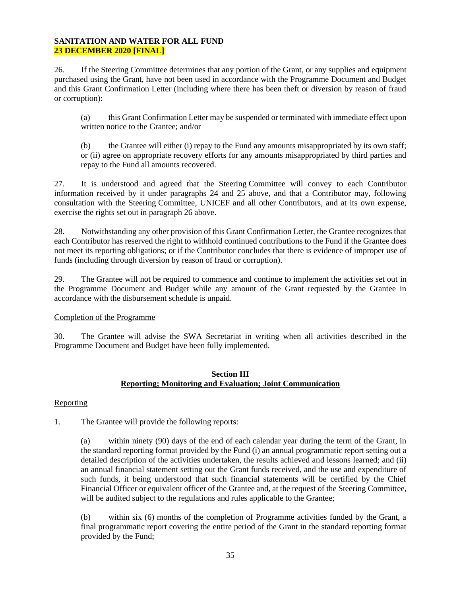26. If the Steering Committee determines that any portion of the Grant, or any supplies and equipment purchased using the Grant, have not been used in accordance with the Programme Document and Budget and this Grant Confirmation Letter (including where there has been theft or diversion by reason of fraud or corruption):

(a) this Grant Confirmation Letter may be suspended or terminated with immediate effect upon written notice to the Grantee; and/or

(b) the Grantee will either (i) repay to the Fund any amounts misappropriated by its own staff; or (ii) agree on appropriate recovery efforts for any amounts misappropriated by third parties and repay to the Fund all amounts recovered.

27. It is understood and agreed that the Steering Committee will convey to each Contributor information received by it under paragraphs 24 and 25 above, and that a Contributor may, following consultation with the Steering Committee, UNICEF and all other Contributors, and at its own expense, exercise the rights set out in paragraph 26 above.

28. Notwithstanding any other provision of this Grant Confirmation Letter, the Grantee recognizes that each Contributor has reserved the right to withhold continued contributions to the Fund if the Grantee does not meet its reporting obligations; or if the Contributor concludes that there is evidence of improper use of funds (including through diversion by reason of fraud or corruption).

29. The Grantee will not be required to commence and continue to implement the activities set out in the Programme Document and Budget while any amount of the Grant requested by the Grantee in accordance with the disbursement schedule is unpaid.

# Completion of the Programme

30. The Grantee will advise the SWA Secretariat in writing when all activities described in the Programme Document and Budget have been fully implemented.

#### **Section III Reporting; Monitoring and Evaluation; Joint Communication**

#### Reporting

1. The Grantee will provide the following reports:

(a) within ninety (90) days of the end of each calendar year during the term of the Grant, in the standard reporting format provided by the Fund (i) an annual programmatic report setting out a detailed description of the activities undertaken, the results achieved and lessons learned; and (ii) an annual financial statement setting out the Grant funds received, and the use and expenditure of such funds, it being understood that such financial statements will be certified by the Chief Financial Officer or equivalent officer of the Grantee and, at the request of the Steering Committee, will be audited subject to the regulations and rules applicable to the Grantee;

(b) within six (6) months of the completion of Programme activities funded by the Grant, a final programmatic report covering the entire period of the Grant in the standard reporting format provided by the Fund;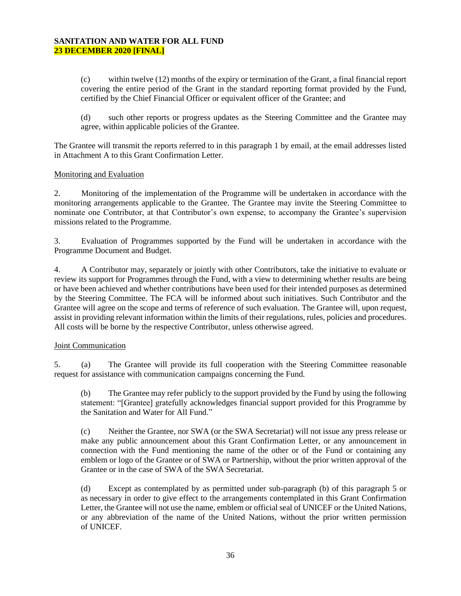(c) within twelve (12) months of the expiry or termination of the Grant, a final financial report covering the entire period of the Grant in the standard reporting format provided by the Fund, certified by the Chief Financial Officer or equivalent officer of the Grantee; and

(d) such other reports or progress updates as the Steering Committee and the Grantee may agree, within applicable policies of the Grantee.

The Grantee will transmit the reports referred to in this paragraph 1 by email, at the email addresses listed in Attachment A to this Grant Confirmation Letter.

#### Monitoring and Evaluation

2. Monitoring of the implementation of the Programme will be undertaken in accordance with the monitoring arrangements applicable to the Grantee. The Grantee may invite the Steering Committee to nominate one Contributor, at that Contributor's own expense, to accompany the Grantee's supervision missions related to the Programme.

3. Evaluation of Programmes supported by the Fund will be undertaken in accordance with the Programme Document and Budget.

4. A Contributor may, separately or jointly with other Contributors, take the initiative to evaluate or review its support for Programmes through the Fund, with a view to determining whether results are being or have been achieved and whether contributions have been used for their intended purposes as determined by the Steering Committee. The FCA will be informed about such initiatives. Such Contributor and the Grantee will agree on the scope and terms of reference of such evaluation. The Grantee will, upon request, assist in providing relevant information within the limits of their regulations, rules, policies and procedures. All costs will be borne by the respective Contributor, unless otherwise agreed.

#### Joint Communication

5. (a) The Grantee will provide its full cooperation with the Steering Committee reasonable request for assistance with communication campaigns concerning the Fund.

(b) The Grantee may refer publicly to the support provided by the Fund by using the following statement: "[Grantee] gratefully acknowledges financial support provided for this Programme by the Sanitation and Water for All Fund."

(c) Neither the Grantee, nor SWA (or the SWA Secretariat) will not issue any press release or make any public announcement about this Grant Confirmation Letter, or any announcement in connection with the Fund mentioning the name of the other or of the Fund or containing any emblem or logo of the Grantee or of SWA or Partnership, without the prior written approval of the Grantee or in the case of SWA of the SWA Secretariat.

(d) Except as contemplated by as permitted under sub-paragraph (b) of this paragraph 5 or as necessary in order to give effect to the arrangements contemplated in this Grant Confirmation Letter, the Grantee will not use the name, emblem or official seal of UNICEF or the United Nations, or any abbreviation of the name of the United Nations, without the prior written permission of UNICEF.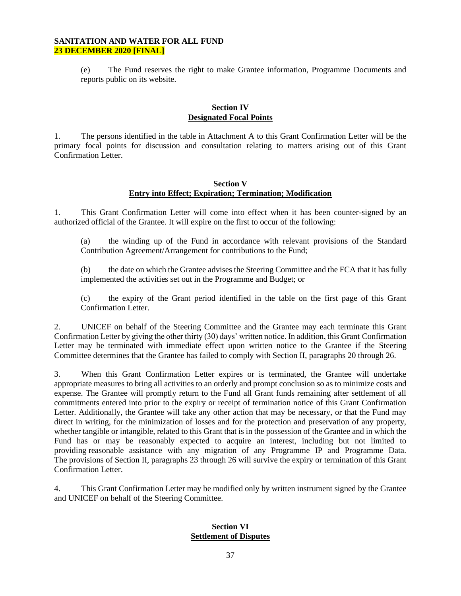(e) The Fund reserves the right to make Grantee information, Programme Documents and reports public on its website.

#### **Section IV Designated Focal Points**

1. The persons identified in the table in Attachment A to this Grant Confirmation Letter will be the primary focal points for discussion and consultation relating to matters arising out of this Grant Confirmation Letter.

## **Section V Entry into Effect; Expiration; Termination; Modification**

1. This Grant Confirmation Letter will come into effect when it has been counter-signed by an authorized official of the Grantee. It will expire on the first to occur of the following:

(a) the winding up of the Fund in accordance with relevant provisions of the Standard Contribution Agreement/Arrangement for contributions to the Fund;

(b) the date on which the Grantee advises the Steering Committee and the FCA that it has fully implemented the activities set out in the Programme and Budget; or

(c) the expiry of the Grant period identified in the table on the first page of this Grant Confirmation Letter.

2. UNICEF on behalf of the Steering Committee and the Grantee may each terminate this Grant Confirmation Letter by giving the other thirty (30) days' written notice. In addition, this Grant Confirmation Letter may be terminated with immediate effect upon written notice to the Grantee if the Steering Committee determines that the Grantee has failed to comply with Section II, paragraphs 20 through 26.

3. When this Grant Confirmation Letter expires or is terminated, the Grantee will undertake appropriate measures to bring all activities to an orderly and prompt conclusion so as to minimize costs and expense. The Grantee will promptly return to the Fund all Grant funds remaining after settlement of all commitments entered into prior to the expiry or receipt of termination notice of this Grant Confirmation Letter. Additionally, the Grantee will take any other action that may be necessary, or that the Fund may direct in writing, for the minimization of losses and for the protection and preservation of any property, whether tangible or intangible, related to this Grant that is in the possession of the Grantee and in which the Fund has or may be reasonably expected to acquire an interest, including but not limited to providing reasonable assistance with any migration of any Programme IP and Programme Data. The provisions of Section II, paragraphs 23 through 26 will survive the expiry or termination of this Grant Confirmation Letter.

4. This Grant Confirmation Letter may be modified only by written instrument signed by the Grantee and UNICEF on behalf of the Steering Committee.

#### **Section VI Settlement of Disputes**